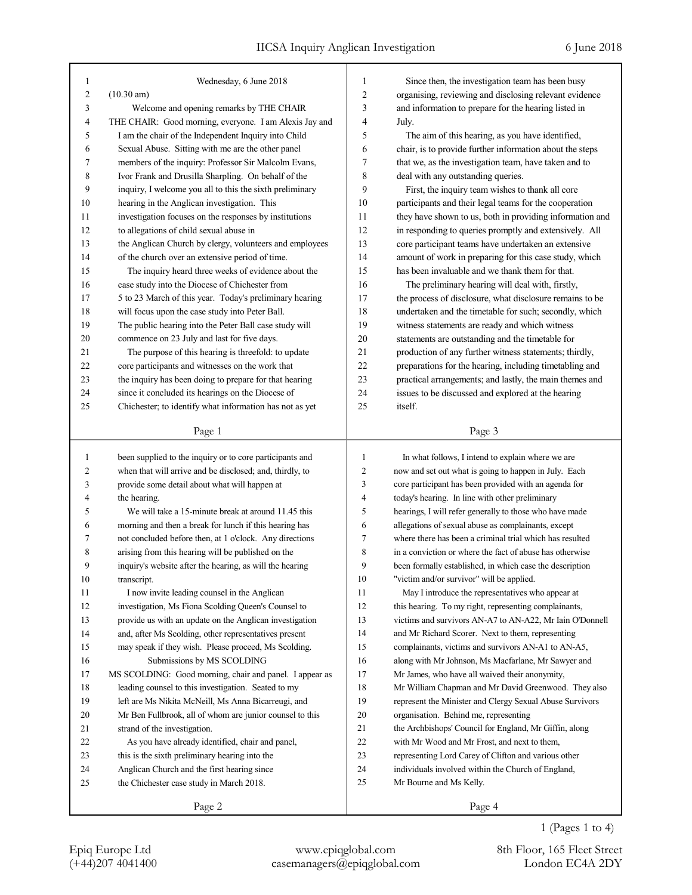| 1  | Wednesday, 6 June 2018                                   | 1  | Since then, the investigation team has been busy         |
|----|----------------------------------------------------------|----|----------------------------------------------------------|
| 2  | $(10.30 \text{ am})$                                     | 2  | organising, reviewing and disclosing relevant evidence   |
| 3  | Welcome and opening remarks by THE CHAIR                 | 3  | and information to prepare for the hearing listed in     |
| 4  | THE CHAIR: Good morning, everyone. I am Alexis Jay and   | 4  | July.                                                    |
| 5  | I am the chair of the Independent Inquiry into Child     | 5  | The aim of this hearing, as you have identified,         |
| 6  | Sexual Abuse. Sitting with me are the other panel        | 6  | chair, is to provide further information about the steps |
| 7  | members of the inquiry: Professor Sir Malcolm Evans,     | 7  | that we, as the investigation team, have taken and to    |
| 8  | Ivor Frank and Drusilla Sharpling. On behalf of the      | 8  | deal with any outstanding queries.                       |
| 9  | inquiry, I welcome you all to this the sixth preliminary | 9  | First, the inquiry team wishes to thank all core         |
| 10 | hearing in the Anglican investigation. This              | 10 | participants and their legal teams for the cooperation   |
| 11 | investigation focuses on the responses by institutions   | 11 | they have shown to us, both in providing information and |
| 12 | to allegations of child sexual abuse in                  | 12 | in responding to queries promptly and extensively. All   |
| 13 | the Anglican Church by clergy, volunteers and employees  | 13 | core participant teams have undertaken an extensive      |
| 14 | of the church over an extensive period of time.          | 14 | amount of work in preparing for this case study, which   |
| 15 | The inquiry heard three weeks of evidence about the      | 15 | has been invaluable and we thank them for that.          |
| 16 | case study into the Diocese of Chichester from           | 16 | The preliminary hearing will deal with, firstly,         |
| 17 | 5 to 23 March of this year. Today's preliminary hearing  | 17 | the process of disclosure, what disclosure remains to be |
| 18 | will focus upon the case study into Peter Ball.          | 18 | undertaken and the timetable for such; secondly, which   |
| 19 | The public hearing into the Peter Ball case study will   | 19 | witness statements are ready and which witness           |
| 20 | commence on 23 July and last for five days.              | 20 | statements are outstanding and the timetable for         |
| 21 | The purpose of this hearing is threefold: to update      | 21 | production of any further witness statements; thirdly,   |
| 22 | core participants and witnesses on the work that         | 22 | preparations for the hearing, including timetabling and  |
| 23 | the inquiry has been doing to prepare for that hearing   | 23 | practical arrangements; and lastly, the main themes and  |
| 24 | since it concluded its hearings on the Diocese of        | 24 | issues to be discussed and explored at the hearing       |
| 25 | Chichester; to identify what information has not as yet  | 25 | itself.                                                  |
|    |                                                          |    |                                                          |
|    | Page 1                                                   |    | Page 3                                                   |
|    |                                                          |    |                                                          |
|    |                                                          |    |                                                          |
| 1  | been supplied to the inquiry or to core participants and | 1  | In what follows, I intend to explain where we are        |
| 2  | when that will arrive and be disclosed; and, thirdly, to | 2  | now and set out what is going to happen in July. Each    |
| 3  | provide some detail about what will happen at            | 3  | core participant has been provided with an agenda for    |
| 4  | the hearing.                                             | 4  | today's hearing. In line with other preliminary          |
| 5  | We will take a 15-minute break at around 11.45 this      | 5  | hearings, I will refer generally to those who have made  |
| 6  | morning and then a break for lunch if this hearing has   | 6  | allegations of sexual abuse as complainants, except      |
| 7  | not concluded before then, at 1 o'clock. Any directions  | 7  | where there has been a criminal trial which has resulted |
| 8  | arising from this hearing will be published on the       | 8  | in a conviction or where the fact of abuse has otherwise |
| 9  | inquiry's website after the hearing, as will the hearing | 9  | been formally established, in which case the description |
| 10 | transcript.                                              | 10 | "victim and/or survivor" will be applied.                |
| 11 | I now invite leading counsel in the Anglican             | 11 | May I introduce the representatives who appear at        |
| 12 | investigation, Ms Fiona Scolding Queen's Counsel to      | 12 | this hearing. To my right, representing complainants,    |
| 13 | provide us with an update on the Anglican investigation  | 13 | victims and survivors AN-A7 to AN-A22, Mr Iain O'Donnell |
| 14 | and, after Ms Scolding, other representatives present    | 14 | and Mr Richard Scorer. Next to them, representing        |
| 15 | may speak if they wish. Please proceed, Ms Scolding.     | 15 | complainants, victims and survivors AN-A1 to AN-A5,      |
| 16 | Submissions by MS SCOLDING                               | 16 | along with Mr Johnson, Ms Macfarlane, Mr Sawyer and      |
| 17 | MS SCOLDING: Good morning, chair and panel. I appear as  | 17 | Mr James, who have all waived their anonymity,           |
| 18 | leading counsel to this investigation. Seated to my      | 18 | Mr William Chapman and Mr David Greenwood. They also     |
| 19 | left are Ms Nikita McNeill, Ms Anna Bicarreugi, and      | 19 | represent the Minister and Clergy Sexual Abuse Survivors |
| 20 | Mr Ben Fullbrook, all of whom are junior counsel to this | 20 | organisation. Behind me, representing                    |
| 21 | strand of the investigation.                             | 21 | the Archbishops' Council for England, Mr Giffin, along   |
| 22 | As you have already identified, chair and panel,         | 22 | with Mr Wood and Mr Frost, and next to them,             |
| 23 | this is the sixth preliminary hearing into the           | 23 | representing Lord Carey of Clifton and various other     |
| 24 | Anglican Church and the first hearing since              | 24 | individuals involved within the Church of England,       |
| 25 | the Chichester case study in March 2018.                 | 25 | Mr Bourne and Ms Kelly.                                  |
|    | Page 2                                                   |    | Page 4                                                   |

1 (Pages 1 to 4)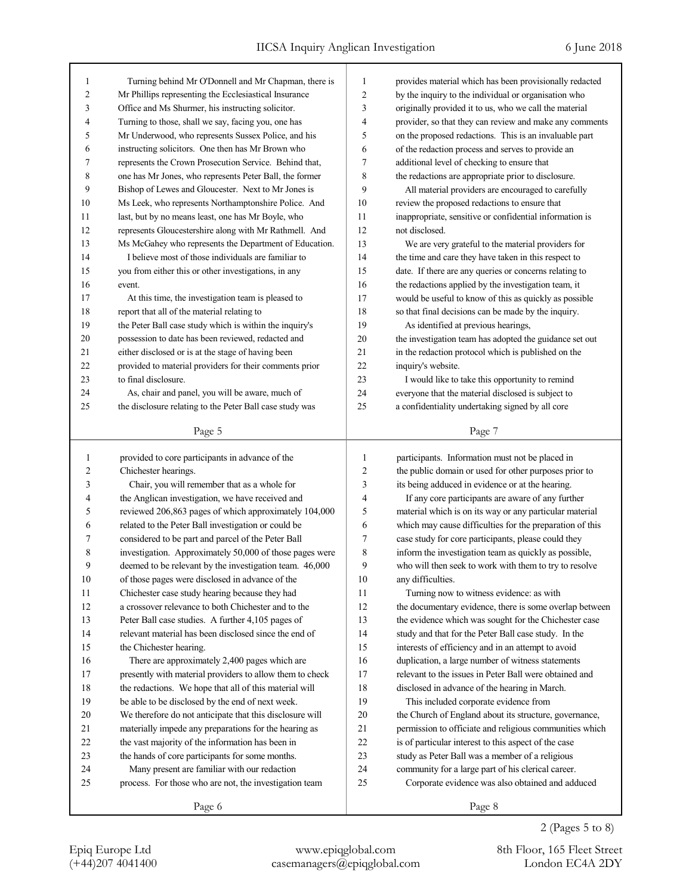| 1              | Turning behind Mr O'Donnell and Mr Chapman, there is     | $\mathbf{1}$   | provides material which has been provisionally redacted  |
|----------------|----------------------------------------------------------|----------------|----------------------------------------------------------|
| 2              | Mr Phillips representing the Ecclesiastical Insurance    | $\overline{c}$ | by the inquiry to the individual or organisation who     |
| 3              | Office and Ms Shurmer, his instructing solicitor.        | 3              | originally provided it to us, who we call the material   |
| 4              | Turning to those, shall we say, facing you, one has      | 4              | provider, so that they can review and make any comments  |
| 5              | Mr Underwood, who represents Sussex Police, and his      | 5              | on the proposed redactions. This is an invaluable part   |
| 6              | instructing solicitors. One then has Mr Brown who        | 6              | of the redaction process and serves to provide an        |
| 7              | represents the Crown Prosecution Service. Behind that,   | 7              | additional level of checking to ensure that              |
| 8              | one has Mr Jones, who represents Peter Ball, the former  | 8              | the redactions are appropriate prior to disclosure.      |
| 9              | Bishop of Lewes and Gloucester. Next to Mr Jones is      | 9              | All material providers are encouraged to carefully       |
| 10             | Ms Leek, who represents Northamptonshire Police. And     | 10             | review the proposed redactions to ensure that            |
| 11             | last, but by no means least, one has Mr Boyle, who       | 11             | inappropriate, sensitive or confidential information is  |
| 12             | represents Gloucestershire along with Mr Rathmell. And   | 12             | not disclosed.                                           |
| 13             | Ms McGahey who represents the Department of Education.   | 13             | We are very grateful to the material providers for       |
| 14             | I believe most of those individuals are familiar to      | 14             | the time and care they have taken in this respect to     |
| 15             | you from either this or other investigations, in any     | 15             | date. If there are any queries or concerns relating to   |
| 16             | event.                                                   | 16             | the redactions applied by the investigation team, it     |
| 17             | At this time, the investigation team is pleased to       | 17             | would be useful to know of this as quickly as possible   |
| 18             | report that all of the material relating to              | 18             | so that final decisions can be made by the inquiry.      |
| 19             | the Peter Ball case study which is within the inquiry's  | 19             | As identified at previous hearings,                      |
| 20             | possession to date has been reviewed, redacted and       | 20             | the investigation team has adopted the guidance set out  |
| 21             |                                                          | 21             |                                                          |
| 22             | either disclosed or is at the stage of having been       | 22             | in the redaction protocol which is published on the      |
|                | provided to material providers for their comments prior  |                | inquiry's website.                                       |
| 23             | to final disclosure.                                     | 23             | I would like to take this opportunity to remind          |
| 24             | As, chair and panel, you will be aware, much of          | 24             | everyone that the material disclosed is subject to       |
| 25             | the disclosure relating to the Peter Ball case study was | 25             | a confidentiality undertaking signed by all core         |
|                | Page 5                                                   |                | Page 7                                                   |
|                |                                                          |                |                                                          |
|                |                                                          |                |                                                          |
| 1              | provided to core participants in advance of the          | 1              | participants. Information must not be placed in          |
| $\overline{2}$ | Chichester hearings.                                     | 2              | the public domain or used for other purposes prior to    |
| 3              | Chair, you will remember that as a whole for             | 3              | its being adduced in evidence or at the hearing.         |
| 4              | the Anglican investigation, we have received and         | 4              | If any core participants are aware of any further        |
| 5              | reviewed 206,863 pages of which approximately 104,000    | 5              | material which is on its way or any particular material  |
| 6              | related to the Peter Ball investigation or could be      | 6              | which may cause difficulties for the preparation of this |
| 7              | considered to be part and parcel of the Peter Ball       | 7              | case study for core participants, please could they      |
| 8              | investigation. Approximately 50,000 of those pages were  | 8              | inform the investigation team as quickly as possible,    |
| 9              | deemed to be relevant by the investigation team. 46,000  | 9              | who will then seek to work with them to try to resolve   |
| 10             | of those pages were disclosed in advance of the          | 10             | any difficulties.                                        |
| 11             | Chichester case study hearing because they had           | 11             | Turning now to witness evidence: as with                 |
| 12             | a crossover relevance to both Chichester and to the      | 12             | the documentary evidence, there is some overlap between  |
| 13             | Peter Ball case studies. A further 4,105 pages of        | 13             | the evidence which was sought for the Chichester case    |
| 14             | relevant material has been disclosed since the end of    | 14             | study and that for the Peter Ball case study. In the     |
| 15             | the Chichester hearing.                                  | 15             | interests of efficiency and in an attempt to avoid       |
| 16             | There are approximately 2,400 pages which are            | 16             | duplication, a large number of witness statements        |
| 17             | presently with material providers to allow them to check | 17             | relevant to the issues in Peter Ball were obtained and   |
| 18             | the redactions. We hope that all of this material will   | 18             | disclosed in advance of the hearing in March.            |
| 19             | be able to be disclosed by the end of next week.         | 19             | This included corporate evidence from                    |
| 20             | We therefore do not anticipate that this disclosure will | 20             | the Church of England about its structure, governance,   |
| 21             | materially impede any preparations for the hearing as    | 21             | permission to officiate and religious communities which  |
| 22             | the vast majority of the information has been in         | 22             | is of particular interest to this aspect of the case     |
| 23             | the hands of core participants for some months.          | 23             | study as Peter Ball was a member of a religious          |
| 24             | Many present are familiar with our redaction             | 24             | community for a large part of his clerical career.       |
| 25             | process. For those who are not, the investigation team   | 25             | Corporate evidence was also obtained and adduced         |
|                | Page 6                                                   |                | Page 8                                                   |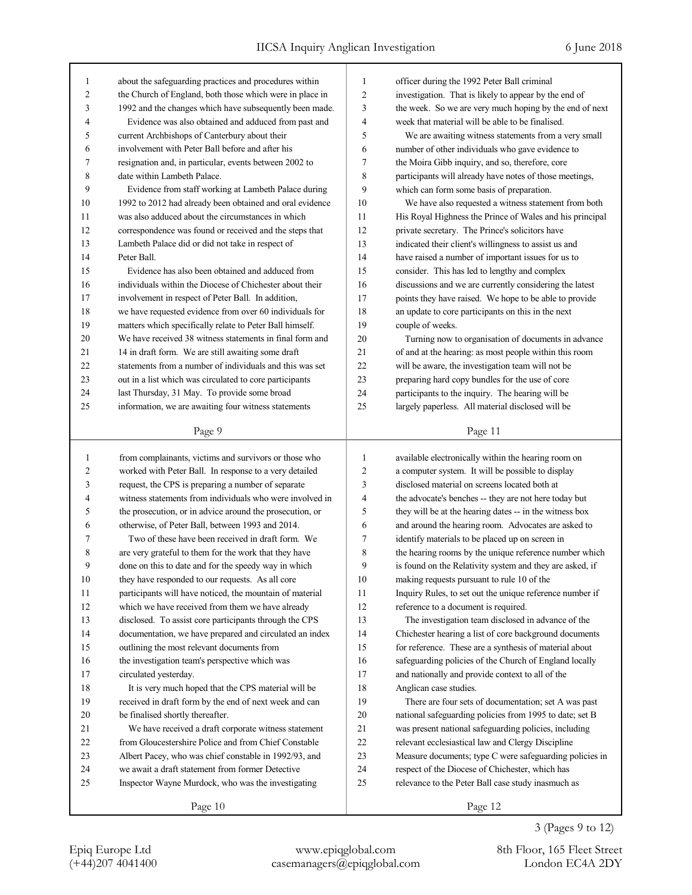| 1                       | about the safeguarding practices and procedures within   | $\mathbf{1}$   | officer during the 1992 Peter Ball criminal              |
|-------------------------|----------------------------------------------------------|----------------|----------------------------------------------------------|
| $\overline{\mathbf{c}}$ | the Church of England, both those which were in place in | $\overline{2}$ | investigation. That is likely to appear by the end of    |
| 3                       | 1992 and the changes which have subsequently been made.  | 3              | the week. So we are very much hoping by the end of next  |
| 4                       | Evidence was also obtained and adduced from past and     | 4              | week that material will be able to be finalised.         |
| 5                       | current Archbishops of Canterbury about their            | 5              | We are awaiting witness statements from a very small     |
| 6                       | involvement with Peter Ball before and after his         | 6              | number of other individuals who gave evidence to         |
| 7                       | resignation and, in particular, events between 2002 to   | 7              | the Moira Gibb inquiry, and so, therefore, core          |
| 8                       | date within Lambeth Palace.                              | 8              | participants will already have notes of those meetings,  |
| 9                       | Evidence from staff working at Lambeth Palace during     | 9              | which can form some basis of preparation.                |
| 10                      | 1992 to 2012 had already been obtained and oral evidence | 10             | We have also requested a witness statement from both     |
| 11                      | was also adduced about the circumstances in which        | 11             | His Royal Highness the Prince of Wales and his principal |
| 12                      | correspondence was found or received and the steps that  | 12             | private secretary. The Prince's solicitors have          |
| 13                      | Lambeth Palace did or did not take in respect of         | 13             | indicated their client's willingness to assist us and    |
| 14                      | Peter Ball.                                              | 14             | have raised a number of important issues for us to       |
| 15                      | Evidence has also been obtained and adduced from         | 15             | consider. This has led to lengthy and complex            |
| 16                      | individuals within the Diocese of Chichester about their | 16             | discussions and we are currently considering the latest  |
| 17                      | involvement in respect of Peter Ball. In addition,       | 17             | points they have raised. We hope to be able to provide   |
| 18                      | we have requested evidence from over 60 individuals for  | 18             | an update to core participants on this in the next       |
| 19                      | matters which specifically relate to Peter Ball himself. | 19             | couple of weeks.                                         |
| 20                      | We have received 38 witness statements in final form and | 20             | Turning now to organisation of documents in advance      |
| 21                      | 14 in draft form. We are still awaiting some draft       | 21             | of and at the hearing: as most people within this room   |
| 22                      | statements from a number of individuals and this was set | 22             | will be aware, the investigation team will not be        |
| 23                      |                                                          |                |                                                          |
|                         | out in a list which was circulated to core participants  | 23<br>24       | preparing hard copy bundles for the use of core          |
| 24                      | last Thursday, 31 May. To provide some broad             |                | participants to the inquiry. The hearing will be         |
| 25                      | information, we are awaiting four witness statements     | 25             | largely paperless. All material disclosed will be        |
|                         | Page 9                                                   |                | Page 11                                                  |
|                         |                                                          |                |                                                          |
|                         |                                                          |                |                                                          |
| 1                       | from complainants, victims and survivors or those who    | $\mathbf{1}$   | available electronically within the hearing room on      |
| $\overline{c}$          | worked with Peter Ball. In response to a very detailed   | $\overline{2}$ | a computer system. It will be possible to display        |
| 3                       | request, the CPS is preparing a number of separate       | 3              | disclosed material on screens located both at            |
| 4                       | witness statements from individuals who were involved in | 4              | the advocate's benches -- they are not here today but    |
| 5                       | the prosecution, or in advice around the prosecution, or | 5              | they will be at the hearing dates -- in the witness box  |
| 6                       | otherwise, of Peter Ball, between 1993 and 2014.         | 6              | and around the hearing room. Advocates are asked to      |
| 7                       | Two of these have been received in draft form. We        | 7              | identify materials to be placed up on screen in          |
| 8                       | are very grateful to them for the work that they have    | 8              | the hearing rooms by the unique reference number which   |
| 9                       | done on this to date and for the speedy way in which     | 9              | is found on the Relativity system and they are asked, if |
| $10\,$                  | they have responded to our requests. As all core         | $10\,$         | making requests pursuant to rule 10 of the               |
| 11                      | participants will have noticed, the mountain of material | 11             | Inquiry Rules, to set out the unique reference number if |
| 12                      | which we have received from them we have already         | 12             | reference to a document is required.                     |
| 13                      | disclosed. To assist core participants through the CPS   | 13             | The investigation team disclosed in advance of the       |
| 14                      | documentation, we have prepared and circulated an index  | 14             | Chichester hearing a list of core background documents   |
| 15                      | outlining the most relevant documents from               | 15             | for reference. These are a synthesis of material about   |
| 16                      | the investigation team's perspective which was           | 16             | safeguarding policies of the Church of England locally   |
| 17                      | circulated yesterday.                                    | 17             | and nationally and provide context to all of the         |
| 18                      | It is very much hoped that the CPS material will be      | 18             | Anglican case studies.                                   |
| 19                      | received in draft form by the end of next week and can   | 19             | There are four sets of documentation; set A was past     |
| 20                      | be finalised shortly thereafter.                         | $20\,$         | national safeguarding policies from 1995 to date; set B  |
| 21                      | We have received a draft corporate witness statement     | 21             | was present national safeguarding policies, including    |
| $22\,$                  | from Gloucestershire Police and from Chief Constable     | 22             | relevant ecclesiastical law and Clergy Discipline        |
| 23                      | Albert Pacey, who was chief constable in 1992/93, and    | 23             | Measure documents; type C were safeguarding policies in  |
| 24                      | we await a draft statement from former Detective         | 24             | respect of the Diocese of Chichester, which has          |
| 25                      | Inspector Wayne Murdock, who was the investigating       | 25             | relevance to the Peter Ball case study inasmuch as       |
|                         | Page 10                                                  |                | Page 12                                                  |

3 (Pages 9 to 12)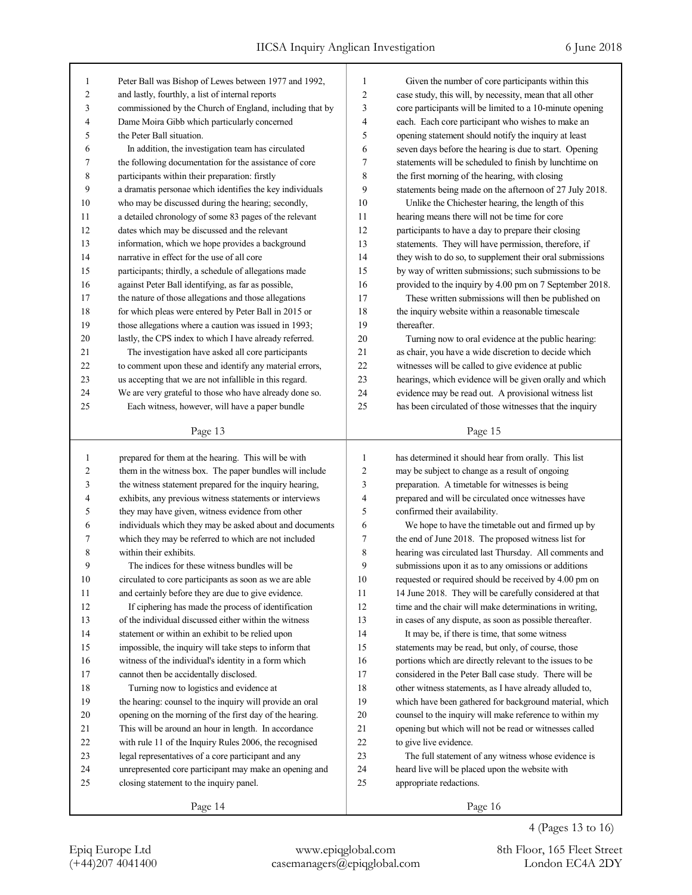| 1                       | Peter Ball was Bishop of Lewes between 1977 and 1992,                                                              | 1              | Given the number of core participants within this                                                         |
|-------------------------|--------------------------------------------------------------------------------------------------------------------|----------------|-----------------------------------------------------------------------------------------------------------|
| $\overline{\mathbf{c}}$ | and lastly, fourthly, a list of internal reports                                                                   | $\overline{c}$ | case study, this will, by necessity, mean that all other                                                  |
| 3                       | commissioned by the Church of England, including that by                                                           | 3              | core participants will be limited to a 10-minute opening                                                  |
| 4                       | Dame Moira Gibb which particularly concerned                                                                       | 4              | each. Each core participant who wishes to make an                                                         |
| 5                       | the Peter Ball situation.                                                                                          | 5              | opening statement should notify the inquiry at least                                                      |
| 6                       | In addition, the investigation team has circulated                                                                 | 6              | seven days before the hearing is due to start. Opening                                                    |
| 7                       | the following documentation for the assistance of core                                                             | 7              | statements will be scheduled to finish by lunchtime on                                                    |
| 8                       | participants within their preparation: firstly                                                                     | 8              | the first morning of the hearing, with closing                                                            |
| 9                       | a dramatis personae which identifies the key individuals                                                           | 9              | statements being made on the afternoon of 27 July 2018.                                                   |
| 10                      | who may be discussed during the hearing; secondly,                                                                 | 10             | Unlike the Chichester hearing, the length of this                                                         |
| 11                      | a detailed chronology of some 83 pages of the relevant                                                             | 11             | hearing means there will not be time for core                                                             |
| 12                      | dates which may be discussed and the relevant                                                                      | 12             | participants to have a day to prepare their closing                                                       |
| 13                      | information, which we hope provides a background                                                                   | 13             | statements. They will have permission, therefore, if                                                      |
| 14                      | narrative in effect for the use of all core                                                                        | 14             | they wish to do so, to supplement their oral submissions                                                  |
| 15                      | participants; thirdly, a schedule of allegations made                                                              | 15             | by way of written submissions; such submissions to be                                                     |
| 16                      | against Peter Ball identifying, as far as possible,                                                                | 16             | provided to the inquiry by 4.00 pm on 7 September 2018.                                                   |
| 17                      | the nature of those allegations and those allegations                                                              | 17             | These written submissions will then be published on                                                       |
| 18                      | for which pleas were entered by Peter Ball in 2015 or                                                              | 18             | the inquiry website within a reasonable timescale                                                         |
| 19                      | those allegations where a caution was issued in 1993;                                                              | 19             | thereafter.                                                                                               |
| 20                      | lastly, the CPS index to which I have already referred.                                                            | 20             | Turning now to oral evidence at the public hearing:                                                       |
| 21                      | The investigation have asked all core participants                                                                 | 21             | as chair, you have a wide discretion to decide which                                                      |
| 22                      | to comment upon these and identify any material errors,                                                            | 22             | witnesses will be called to give evidence at public                                                       |
| 23                      | us accepting that we are not infallible in this regard.                                                            | 23             | hearings, which evidence will be given orally and which                                                   |
| 24                      | We are very grateful to those who have already done so.                                                            | 24             | evidence may be read out. A provisional witness list                                                      |
| 25                      | Each witness, however, will have a paper bundle                                                                    | 25             | has been circulated of those witnesses that the inquiry                                                   |
|                         |                                                                                                                    |                |                                                                                                           |
|                         | Page 13                                                                                                            |                | Page 15                                                                                                   |
|                         |                                                                                                                    |                |                                                                                                           |
| $\mathbf{1}$            |                                                                                                                    | $\mathbf{1}$   |                                                                                                           |
| $\overline{c}$          | prepared for them at the hearing. This will be with                                                                | 2              | has determined it should hear from orally. This list                                                      |
| 3                       | them in the witness box. The paper bundles will include<br>the witness statement prepared for the inquiry hearing, | 3              | may be subject to change as a result of ongoing<br>preparation. A timetable for witnesses is being        |
| 4                       | exhibits, any previous witness statements or interviews                                                            | 4              | prepared and will be circulated once witnesses have                                                       |
| 5                       | they may have given, witness evidence from other                                                                   | 5              | confirmed their availability.                                                                             |
| 6                       | individuals which they may be asked about and documents                                                            | 6              |                                                                                                           |
| 7                       |                                                                                                                    | 7              | We hope to have the timetable out and firmed up by<br>the end of June 2018. The proposed witness list for |
| 8                       | which they may be referred to which are not included<br>within their exhibits.                                     | 8              | hearing was circulated last Thursday. All comments and                                                    |
| 9                       | The indices for these witness bundles will be                                                                      | 9              | submissions upon it as to any omissions or additions                                                      |
| $10\,$                  | circulated to core participants as soon as we are able                                                             | $10\,$         | requested or required should be received by 4.00 pm on                                                    |
| 11                      | and certainly before they are due to give evidence.                                                                | 11             | 14 June 2018. They will be carefully considered at that                                                   |
| 12                      | If ciphering has made the process of identification                                                                | 12             | time and the chair will make determinations in writing,                                                   |
| 13                      | of the individual discussed either within the witness                                                              | 13             | in cases of any dispute, as soon as possible thereafter.                                                  |
| 14                      | statement or within an exhibit to be relied upon                                                                   | 14             | It may be, if there is time, that some witness                                                            |
| 15                      | impossible, the inquiry will take steps to inform that                                                             | 15             | statements may be read, but only, of course, those                                                        |
| 16                      | witness of the individual's identity in a form which                                                               | 16             | portions which are directly relevant to the issues to be                                                  |
| 17                      | cannot then be accidentally disclosed.                                                                             | 17             | considered in the Peter Ball case study. There will be                                                    |
| $18\,$                  | Turning now to logistics and evidence at                                                                           | 18             | other witness statements, as I have already alluded to,                                                   |
| 19                      | the hearing: counsel to the inquiry will provide an oral                                                           | 19             | which have been gathered for background material, which                                                   |
| 20                      | opening on the morning of the first day of the hearing.                                                            | $20\,$         | counsel to the inquiry will make reference to within my                                                   |
| 21                      | This will be around an hour in length. In accordance                                                               | 21             | opening but which will not be read or witnesses called                                                    |
| $22\,$                  | with rule 11 of the Inquiry Rules 2006, the recognised                                                             | $22\,$         | to give live evidence.                                                                                    |
| 23                      | legal representatives of a core participant and any                                                                | $23\,$         | The full statement of any witness whose evidence is                                                       |
| 24                      | unrepresented core participant may make an opening and                                                             | 24             | heard live will be placed upon the website with                                                           |
| 25                      | closing statement to the inquiry panel.                                                                            | 25             | appropriate redactions.                                                                                   |
|                         | Page 14                                                                                                            |                | Page 16                                                                                                   |

4 (Pages 13 to 16)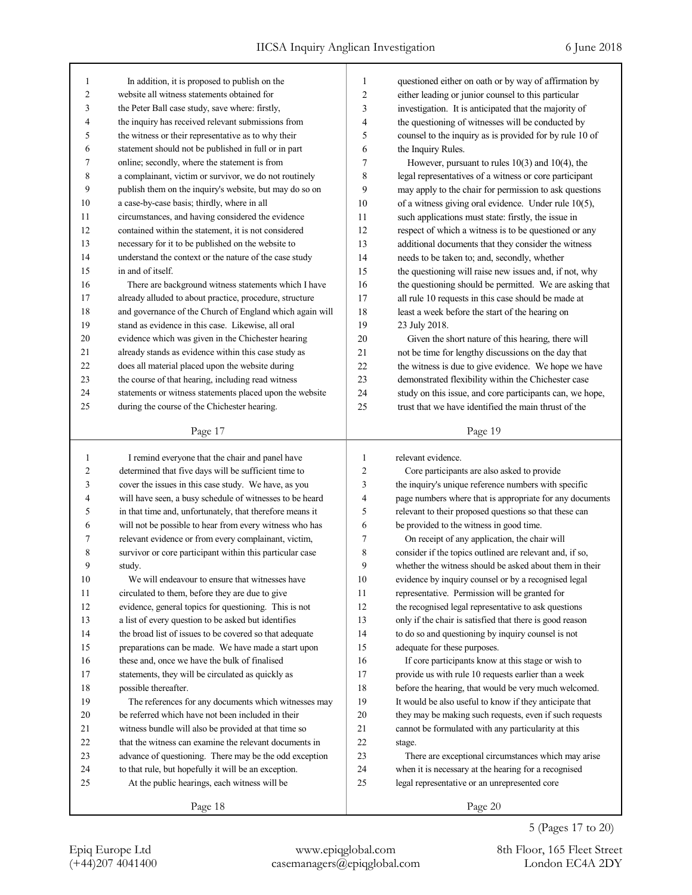| 1              | In addition, it is proposed to publish on the            | 1              | questioned either on oath or by way of affirmation by    |
|----------------|----------------------------------------------------------|----------------|----------------------------------------------------------|
| $\overline{2}$ | website all witness statements obtained for              | $\overline{2}$ | either leading or junior counsel to this particular      |
| 3              | the Peter Ball case study, save where: firstly,          | 3              | investigation. It is anticipated that the majority of    |
| $\overline{4}$ | the inquiry has received relevant submissions from       | 4              | the questioning of witnesses will be conducted by        |
| 5              | the witness or their representative as to why their      | 5              | counsel to the inquiry as is provided for by rule 10 of  |
| 6              | statement should not be published in full or in part     | 6              | the Inquiry Rules.                                       |
| $\tau$         | online; secondly, where the statement is from            | 7              | However, pursuant to rules $10(3)$ and $10(4)$ , the     |
| 8              | a complainant, victim or survivor, we do not routinely   | 8              | legal representatives of a witness or core participant   |
| 9              | publish them on the inquiry's website, but may do so on  | 9              | may apply to the chair for permission to ask questions   |
| 10             | a case-by-case basis; thirdly, where in all              | 10             | of a witness giving oral evidence. Under rule 10(5),     |
| 11             | circumstances, and having considered the evidence        | 11             | such applications must state: firstly, the issue in      |
| 12             | contained within the statement, it is not considered     | 12             | respect of which a witness is to be questioned or any    |
| 13             | necessary for it to be published on the website to       | 13             | additional documents that they consider the witness      |
| 14             | understand the context or the nature of the case study   | 14             | needs to be taken to; and, secondly, whether             |
| 15             | in and of itself.                                        | 15             | the questioning will raise new issues and, if not, why   |
| 16             | There are background witness statements which I have     | 16             | the questioning should be permitted. We are asking that  |
| 17             | already alluded to about practice, procedure, structure  | 17             | all rule 10 requests in this case should be made at      |
| 18             | and governance of the Church of England which again will | 18             | least a week before the start of the hearing on          |
| 19             | stand as evidence in this case. Likewise, all oral       | 19             | 23 July 2018.                                            |
| 20             | evidence which was given in the Chichester hearing       | 20             | Given the short nature of this hearing, there will       |
| 21             | already stands as evidence within this case study as     | 21             | not be time for lengthy discussions on the day that      |
| 22             | does all material placed upon the website during         | 22             | the witness is due to give evidence. We hope we have     |
| 23             | the course of that hearing, including read witness       | 23             | demonstrated flexibility within the Chichester case      |
| 24             | statements or witness statements placed upon the website | 24             | study on this issue, and core participants can, we hope, |
| 25             | during the course of the Chichester hearing.             | 25             | trust that we have identified the main thrust of the     |
|                |                                                          |                |                                                          |
|                | Page 17                                                  |                | Page 19                                                  |
|                |                                                          |                |                                                          |
|                |                                                          |                |                                                          |
| 1              | I remind everyone that the chair and panel have          | 1              | relevant evidence.                                       |
| $\overline{2}$ | determined that five days will be sufficient time to     | $\overline{2}$ | Core participants are also asked to provide              |
| 3              | cover the issues in this case study. We have, as you     | 3              | the inquiry's unique reference numbers with specific     |
| 4              | will have seen, a busy schedule of witnesses to be heard | 4              | page numbers where that is appropriate for any documents |
| 5              | in that time and, unfortunately, that therefore means it | 5              | relevant to their proposed questions so that these can   |
| 6              | will not be possible to hear from every witness who has  | 6              | be provided to the witness in good time.                 |
| 7              | relevant evidence or from every complainant, victim,     | 7              | On receipt of any application, the chair will            |
| 8<br>9         | survivor or core participant within this particular case | 8<br>9         | consider if the topics outlined are relevant and, if so, |
|                | study.                                                   |                | whether the witness should be asked about them in their  |
| $10\,$         | We will endeavour to ensure that witnesses have          | 10             | evidence by inquiry counsel or by a recognised legal     |
| 11             | circulated to them, before they are due to give          | 11             | representative. Permission will be granted for           |
| 12             | evidence, general topics for questioning. This is not    | 12             | the recognised legal representative to ask questions     |
| 13             | a list of every question to be asked but identifies      | 13             | only if the chair is satisfied that there is good reason |
| 14             | the broad list of issues to be covered so that adequate  | 14             | to do so and questioning by inquiry counsel is not       |
| 15             | preparations can be made. We have made a start upon      | 15             | adequate for these purposes.                             |
| 16             | these and, once we have the bulk of finalised            | 16             | If core participants know at this stage or wish to       |
| 17             | statements, they will be circulated as quickly as        | 17             | provide us with rule 10 requests earlier than a week     |
| 18             | possible thereafter.                                     | 18             | before the hearing, that would be very much welcomed.    |
| 19             | The references for any documents which witnesses may     | 19             | It would be also useful to know if they anticipate that  |
| 20             | be referred which have not been included in their        | 20             | they may be making such requests, even if such requests  |
| 21             | witness bundle will also be provided at that time so     | 21             | cannot be formulated with any particularity at this      |
| 22             | that the witness can examine the relevant documents in   | 22             | stage.                                                   |
| 23             | advance of questioning. There may be the odd exception   | 23             | There are exceptional circumstances which may arise      |
| 24             | to that rule, but hopefully it will be an exception.     | 24             | when it is necessary at the hearing for a recognised     |
| 25             | At the public hearings, each witness will be             | 25             | legal representative or an unrepresented core            |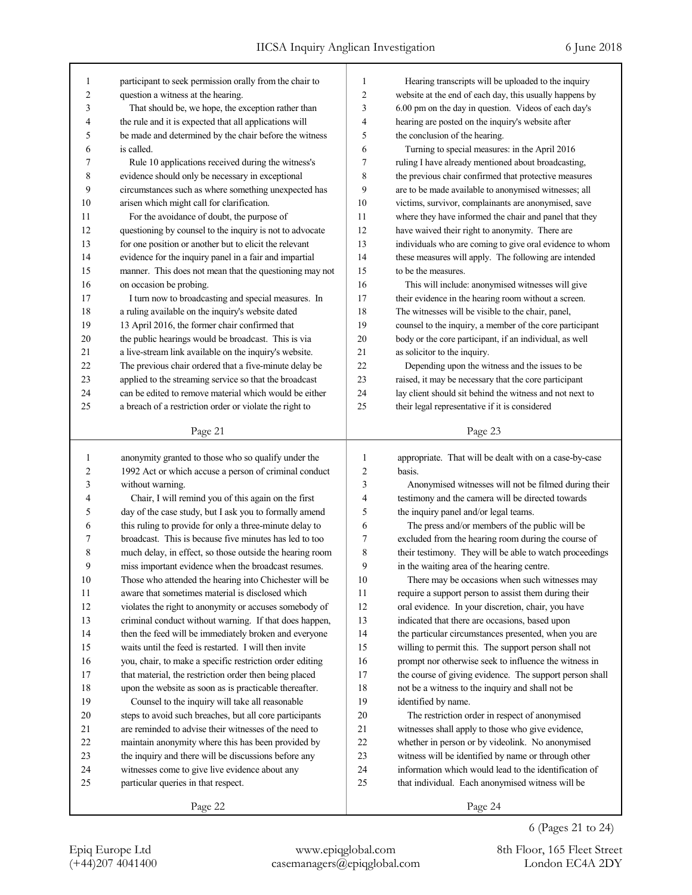| 1              | participant to seek permission orally from the chair to                                                           | 1              | Hearing transcripts will be uploaded to the inquiry         |
|----------------|-------------------------------------------------------------------------------------------------------------------|----------------|-------------------------------------------------------------|
| $\overline{c}$ | question a witness at the hearing.                                                                                | $\overline{c}$ | website at the end of each day, this usually happens by     |
| 3              | That should be, we hope, the exception rather than                                                                | 3              | 6.00 pm on the day in question. Videos of each day's        |
| 4              | the rule and it is expected that all applications will                                                            | 4              | hearing are posted on the inquiry's website after           |
| 5              | be made and determined by the chair before the witness                                                            | 5              | the conclusion of the hearing.                              |
| 6              | is called.                                                                                                        | 6              | Turning to special measures: in the April 2016              |
| 7              | Rule 10 applications received during the witness's                                                                | 7              | ruling I have already mentioned about broadcasting,         |
| 8              | evidence should only be necessary in exceptional                                                                  | 8              | the previous chair confirmed that protective measures       |
| 9              | circumstances such as where something unexpected has                                                              | 9              | are to be made available to anonymised witnesses; all       |
| 10             | arisen which might call for clarification.                                                                        | 10             | victims, survivor, complainants are anonymised, save        |
| 11             | For the avoidance of doubt, the purpose of                                                                        | 11             | where they have informed the chair and panel that they      |
| 12             | questioning by counsel to the inquiry is not to advocate                                                          | 12             | have waived their right to anonymity. There are             |
| 13             | for one position or another but to elicit the relevant                                                            | 13             | individuals who are coming to give oral evidence to whom    |
| 14             | evidence for the inquiry panel in a fair and impartial                                                            | 14             | these measures will apply. The following are intended       |
| 15             | manner. This does not mean that the questioning may not                                                           | 15             | to be the measures.                                         |
| 16             | on occasion be probing.                                                                                           | 16             | This will include: anonymised witnesses will give           |
| 17             | I turn now to broadcasting and special measures. In                                                               | 17             | their evidence in the hearing room without a screen.        |
| 18             | a ruling available on the inquiry's website dated                                                                 | 18             | The witnesses will be visible to the chair, panel,          |
| 19             | 13 April 2016, the former chair confirmed that                                                                    | 19             | counsel to the inquiry, a member of the core participant    |
| 20             | the public hearings would be broadcast. This is via                                                               | 20             | body or the core participant, if an individual, as well     |
| 21             | a live-stream link available on the inquiry's website.                                                            | 21             | as solicitor to the inquiry.                                |
| 22             | The previous chair ordered that a five-minute delay be                                                            | 22             | Depending upon the witness and the issues to be             |
| 23             | applied to the streaming service so that the broadcast                                                            | 23             | raised, it may be necessary that the core participant       |
| 24             | can be edited to remove material which would be either                                                            | 24             | lay client should sit behind the witness and not next to    |
| 25             | a breach of a restriction order or violate the right to                                                           | 25             | their legal representative if it is considered              |
|                |                                                                                                                   |                |                                                             |
|                | Page 21                                                                                                           |                | Page 23                                                     |
|                |                                                                                                                   |                |                                                             |
|                |                                                                                                                   |                |                                                             |
| $\mathbf{1}$   | anonymity granted to those who so qualify under the                                                               | 1              | appropriate. That will be dealt with on a case-by-case      |
| 2              | 1992 Act or which accuse a person of criminal conduct                                                             | 2              | basis.                                                      |
| 3<br>4         | without warning.                                                                                                  | 3<br>4         | Anonymised witnesses will not be filmed during their        |
| 5              | Chair, I will remind you of this again on the first                                                               | 5              | testimony and the camera will be directed towards           |
| 6              | day of the case study, but I ask you to formally amend                                                            | 6              | the inquiry panel and/or legal teams.                       |
|                | this ruling to provide for only a three-minute delay to<br>broadcast. This is because five minutes has led to too |                | The press and/or members of the public will be              |
| 7              |                                                                                                                   | 7              | excluded from the hearing room during the course of         |
| 8<br>9         | much delay, in effect, so those outside the hearing room                                                          | 8<br>9         | their testimony. They will be able to watch proceedings     |
|                | miss important evidence when the broadcast resumes.                                                               |                | in the waiting area of the hearing centre.                  |
| $10\,$         | Those who attended the hearing into Chichester will be                                                            | 10             | There may be occasions when such witnesses may              |
| 11             | aware that sometimes material is disclosed which                                                                  | 11             | require a support person to assist them during their        |
| 12             | violates the right to anonymity or accuses somebody of                                                            | 12             | oral evidence. In your discretion, chair, you have          |
| 13             | criminal conduct without warning. If that does happen,                                                            | 13             | indicated that there are occasions, based upon              |
| 14             | then the feed will be immediately broken and everyone                                                             | 14             | the particular circumstances presented, when you are        |
| 15             | waits until the feed is restarted. I will then invite                                                             | 15             | willing to permit this. The support person shall not        |
| 16             | you, chair, to make a specific restriction order editing                                                          | 16             | prompt nor otherwise seek to influence the witness in       |
| 17             | that material, the restriction order then being placed                                                            | 17             | the course of giving evidence. The support person shall     |
| 18             | upon the website as soon as is practicable thereafter.                                                            | 18             | not be a witness to the inquiry and shall not be            |
| 19             | Counsel to the inquiry will take all reasonable                                                                   | 19             | identified by name.                                         |
| 20             | steps to avoid such breaches, but all core participants                                                           | $20\,$         | The restriction order in respect of anonymised              |
| 21             | are reminded to advise their witnesses of the need to                                                             | 21             | witnesses shall apply to those who give evidence,           |
| 22             | maintain anonymity where this has been provided by                                                                | 22             | whether in person or by videolink. No anonymised            |
| 23             | the inquiry and there will be discussions before any                                                              | 23             | witness will be identified by name or through other         |
| 24             | witnesses come to give live evidence about any                                                                    | 24             | information which would lead to the identification of       |
| 25             | particular queries in that respect.<br>Page 22                                                                    | 25             | that individual. Each anonymised witness will be<br>Page 24 |

6 (Pages 21 to 24)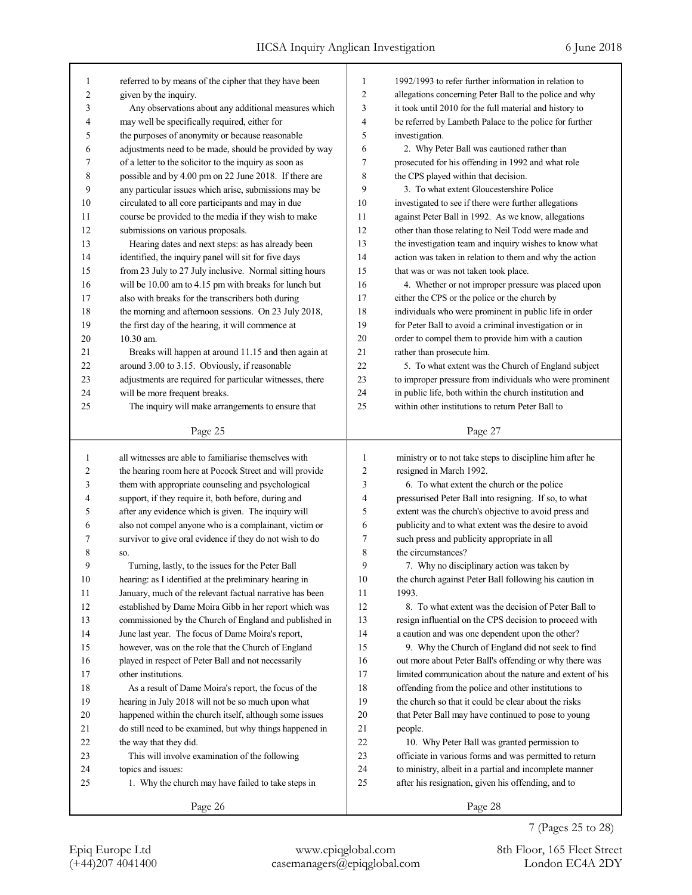| 1              | referred to by means of the cipher that they have been   | 1              | 1992/1993 to refer further information in relation to    |
|----------------|----------------------------------------------------------|----------------|----------------------------------------------------------|
| $\overline{c}$ | given by the inquiry.                                    | 2              | allegations concerning Peter Ball to the police and why  |
| 3              | Any observations about any additional measures which     | 3              | it took until 2010 for the full material and history to  |
| 4              | may well be specifically required, either for            | 4              | be referred by Lambeth Palace to the police for further  |
| 5              | the purposes of anonymity or because reasonable          | 5              |                                                          |
|                |                                                          |                | investigation.                                           |
| 6<br>7         | adjustments need to be made, should be provided by way   | 6<br>7         | 2. Why Peter Ball was cautioned rather than              |
|                | of a letter to the solicitor to the inquiry as soon as   |                | prosecuted for his offending in 1992 and what role       |
| 8              | possible and by 4.00 pm on 22 June 2018. If there are    | 8              | the CPS played within that decision.                     |
| 9              | any particular issues which arise, submissions may be    | 9              | 3. To what extent Gloucestershire Police                 |
| 10             | circulated to all core participants and may in due       | 10             | investigated to see if there were further allegations    |
| 11             | course be provided to the media if they wish to make     | 11             | against Peter Ball in 1992. As we know, allegations      |
| 12             | submissions on various proposals.                        | 12             | other than those relating to Neil Todd were made and     |
| 13             | Hearing dates and next steps: as has already been        | 13             | the investigation team and inquiry wishes to know what   |
| 14             | identified, the inquiry panel will sit for five days     | 14             | action was taken in relation to them and why the action  |
| 15             | from 23 July to 27 July inclusive. Normal sitting hours  | 15             | that was or was not taken took place.                    |
| 16             | will be 10.00 am to 4.15 pm with breaks for lunch but    | 16             | 4. Whether or not improper pressure was placed upon      |
| 17             | also with breaks for the transcribers both during        | 17             | either the CPS or the police or the church by            |
| 18             | the morning and afternoon sessions. On 23 July 2018,     | 18             | individuals who were prominent in public life in order   |
| 19             | the first day of the hearing, it will commence at        | 19             | for Peter Ball to avoid a criminal investigation or in   |
| 20             | 10.30 am.                                                | 20             | order to compel them to provide him with a caution       |
| 21             | Breaks will happen at around 11.15 and then again at     | 21             | rather than prosecute him.                               |
| 22             | around 3.00 to 3.15. Obviously, if reasonable            | 22             | 5. To what extent was the Church of England subject      |
| 23             | adjustments are required for particular witnesses, there | 23             | to improper pressure from individuals who were prominent |
| 24             | will be more frequent breaks.                            | 24             | in public life, both within the church institution and   |
| 25             | The inquiry will make arrangements to ensure that        | 25             | within other institutions to return Peter Ball to        |
|                | Page 25                                                  |                | Page 27                                                  |
|                |                                                          |                |                                                          |
|                |                                                          |                |                                                          |
| 1              | all witnesses are able to familiarise themselves with    | 1              | ministry or to not take steps to discipline him after he |
| 2              | the hearing room here at Pocock Street and will provide  | $\overline{c}$ | resigned in March 1992.                                  |
| 3              | them with appropriate counseling and psychological       | 3              | 6. To what extent the church or the police               |
| 4              | support, if they require it, both before, during and     | 4              | pressurised Peter Ball into resigning. If so, to what    |
| 5              | after any evidence which is given. The inquiry will      | 5              | extent was the church's objective to avoid press and     |
| 6              | also not compel anyone who is a complainant, victim or   | 6              | publicity and to what extent was the desire to avoid     |
| 7              | survivor to give oral evidence if they do not wish to do | 7              | such press and publicity appropriate in all              |
| 8              | SO.                                                      | 8              | the circumstances?                                       |
| 9              | Turning, lastly, to the issues for the Peter Ball        | 9              | 7. Why no disciplinary action was taken by               |
| 10             | hearing: as I identified at the preliminary hearing in   | 10             | the church against Peter Ball following his caution in   |
| 11             | January, much of the relevant factual narrative has been | 11             | 1993.                                                    |
| 12             | established by Dame Moira Gibb in her report which was   | 12             | 8. To what extent was the decision of Peter Ball to      |
| 13             | commissioned by the Church of England and published in   | 13             | resign influential on the CPS decision to proceed with   |
| 14             | June last year. The focus of Dame Moira's report,        | 14             | a caution and was one dependent upon the other?          |
| 15             | however, was on the role that the Church of England      | 15             | 9. Why the Church of England did not seek to find        |
| 16             | played in respect of Peter Ball and not necessarily      | 16             | out more about Peter Ball's offending or why there was   |
| 17             | other institutions.                                      | 17             | limited communication about the nature and extent of his |
| 18             | As a result of Dame Moira's report, the focus of the     | 18             | offending from the police and other institutions to      |
| 19             | hearing in July 2018 will not be so much upon what       | 19             | the church so that it could be clear about the risks     |
| 20             | happened within the church itself, although some issues  | 20             | that Peter Ball may have continued to pose to young      |
| 21             | do still need to be examined, but why things happened in | 21             | people.                                                  |
| 22             | the way that they did.                                   | 22             | 10. Why Peter Ball was granted permission to             |
| 23             | This will involve examination of the following           | 23             | officiate in various forms and was permitted to return   |
| 24             | topics and issues:                                       | 24             | to ministry, albeit in a partial and incomplete manner   |
| 25             | 1. Why the church may have failed to take steps in       | 25             | after his resignation, given his offending, and to       |
|                | Page 26                                                  |                | Page 28                                                  |

7 (Pages 25 to 28)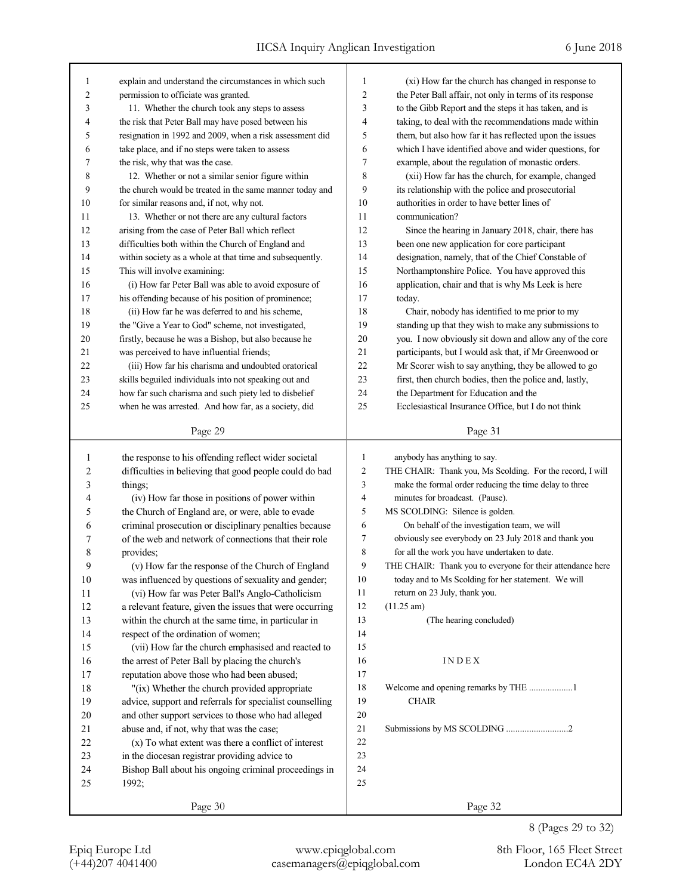| 1      | explain and understand the circumstances in which such   | 1                       | (xi) How far the church has changed in response to         |
|--------|----------------------------------------------------------|-------------------------|------------------------------------------------------------|
| 2      | permission to officiate was granted.                     | 2                       | the Peter Ball affair, not only in terms of its response   |
| 3      | 11. Whether the church took any steps to assess          | 3                       | to the Gibb Report and the steps it has taken, and is      |
| 4      | the risk that Peter Ball may have posed between his      | 4                       | taking, to deal with the recommendations made within       |
| 5      | resignation in 1992 and 2009, when a risk assessment did | 5                       | them, but also how far it has reflected upon the issues    |
| 6      | take place, and if no steps were taken to assess         | 6                       | which I have identified above and wider questions, for     |
| 7      | the risk, why that was the case.                         | 7                       | example, about the regulation of monastic orders.          |
| 8      | 12. Whether or not a similar senior figure within        | 8                       | (xii) How far has the church, for example, changed         |
| 9      | the church would be treated in the same manner today and | 9                       | its relationship with the police and prosecutorial         |
| 10     | for similar reasons and, if not, why not.                | 10                      | authorities in order to have better lines of               |
| 11     | 13. Whether or not there are any cultural factors        | 11                      | communication?                                             |
| 12     | arising from the case of Peter Ball which reflect        | 12                      | Since the hearing in January 2018, chair, there has        |
| 13     | difficulties both within the Church of England and       | 13                      | been one new application for core participant              |
| 14     | within society as a whole at that time and subsequently. | 14                      | designation, namely, that of the Chief Constable of        |
| 15     | This will involve examining:                             | 15                      | Northamptonshire Police. You have approved this            |
| 16     | (i) How far Peter Ball was able to avoid exposure of     | 16                      | application, chair and that is why Ms Leek is here         |
| 17     | his offending because of his position of prominence;     | 17                      | today.                                                     |
| 18     | (ii) How far he was deferred to and his scheme,          | 18                      | Chair, nobody has identified to me prior to my             |
| 19     | the "Give a Year to God" scheme, not investigated,       | 19                      | standing up that they wish to make any submissions to      |
| 20     | firstly, because he was a Bishop, but also because he    | 20                      | you. I now obviously sit down and allow any of the core    |
| 21     | was perceived to have influential friends;               | 21                      | participants, but I would ask that, if Mr Greenwood or     |
| 22     | (iii) How far his charisma and undoubted oratorical      | 22                      | Mr Scorer wish to say anything, they be allowed to go      |
| 23     | skills beguiled individuals into not speaking out and    | 23                      | first, then church bodies, then the police and, lastly,    |
| 24     | how far such charisma and such piety led to disbelief    | 24                      | the Department for Education and the                       |
| 25     | when he was arrested. And how far, as a society, did     | 25                      | Ecclesiastical Insurance Office, but I do not think        |
|        |                                                          |                         |                                                            |
|        | Page 29                                                  |                         | Page 31                                                    |
|        |                                                          |                         |                                                            |
|        |                                                          |                         |                                                            |
| 1      | the response to his offending reflect wider societal     | 1                       | anybody has anything to say.                               |
| 2      | difficulties in believing that good people could do bad  | $\overline{\mathbf{c}}$ | THE CHAIR: Thank you, Ms Scolding. For the record, I will  |
| 3      | things;                                                  | 3                       | make the formal order reducing the time delay to three     |
| 4      | (iv) How far those in positions of power within          | $\overline{4}$          | minutes for broadcast. (Pause).                            |
| 5      | the Church of England are, or were, able to evade        | 5                       | MS SCOLDING: Silence is golden.                            |
| 6      | criminal prosecution or disciplinary penalties because   | 6                       | On behalf of the investigation team, we will               |
| 7      | of the web and network of connections that their role    | 7                       | obviously see everybody on 23 July 2018 and thank you      |
| 8      | provides;                                                | 8                       | for all the work you have undertaken to date.              |
| 9      | (v) How far the response of the Church of England        | 9                       | THE CHAIR: Thank you to everyone for their attendance here |
| 10     | was influenced by questions of sexuality and gender;     | 10                      | today and to Ms Scolding for her statement. We will        |
| 11     | (vi) How far was Peter Ball's Anglo-Catholicism          | 11                      | return on 23 July, thank you.                              |
| 12     | a relevant feature, given the issues that were occurring | 12                      | $(11.25 \text{ am})$                                       |
| 13     | within the church at the same time, in particular in     | 13                      | (The hearing concluded)                                    |
| 14     | respect of the ordination of women;                      | 14                      |                                                            |
| 15     | (vii) How far the church emphasised and reacted to       | 15                      |                                                            |
| 16     | the arrest of Peter Ball by placing the church's         | 16                      | <b>INDEX</b>                                               |
| 17     | reputation above those who had been abused;              | 17                      |                                                            |
| 18     | "(ix) Whether the church provided appropriate            | 18                      |                                                            |
| 19     | advice, support and referrals for specialist counselling | 19                      | <b>CHAIR</b>                                               |
| $20\,$ | and other support services to those who had alleged      | 20                      |                                                            |
| 21     | abuse and, if not, why that was the case;                | 21                      | Submissions by MS SCOLDING 2                               |
| $22\,$ | (x) To what extent was there a conflict of interest      | 22                      |                                                            |
| 23     | in the diocesan registrar providing advice to            | 23                      |                                                            |
| 24     | Bishop Ball about his ongoing criminal proceedings in    | 24                      |                                                            |
| 25     | 1992;                                                    | 25                      |                                                            |

8 (Pages 29 to 32)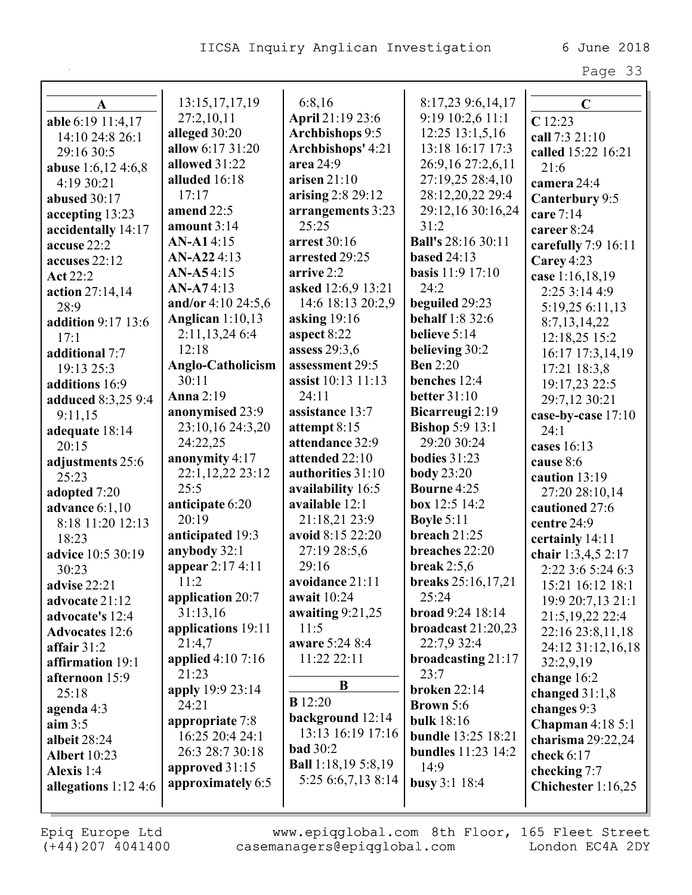| A                         | 13:15, 17, 17, 19     | 6:8,16                                        | 8:17,23 9:6,14,17         | $\mathbf C$           |
|---------------------------|-----------------------|-----------------------------------------------|---------------------------|-----------------------|
| able 6:19 11:4,17         | 27:2,10,11            | April 21:19 23:6                              | 9:19 10:2,6 11:1          | C12:23                |
| 14:10 24:8 26:1           | alleged 30:20         | <b>Archbishops 9:5</b>                        | $12:25$ $13:1,5,16$       | call 7:3 21:10        |
| 29:16 30:5                | allow 6:17 31:20      | Archbishops' 4:21                             | 13:18 16:17 17:3          | called 15:22 16:21    |
| <b>abuse</b> 1:6,12 4:6,8 | allowed 31:22         | area 24:9                                     | 26:9,16 27:2,6,11         | 21:6                  |
| 4:19 30:21                | alluded 16:18         | arisen $21:10$                                | 27:19,25 28:4,10          | camera 24:4           |
| abused 30:17              | 17:17                 | arising 2:8 29:12                             | 28:12,20,22 29:4          | Canterbury 9:5        |
| accepting 13:23           | amend 22:5            | arrangements 3:23                             | 29:12,16 30:16,24         | care 7:14             |
| accidentally 14:17        | amount $3:14$         | 25:25                                         | 31:2                      | career 8:24           |
| accuse 22:2               | <b>AN-A1</b> 4:15     | arrest 30:16                                  | <b>Ball's 28:16 30:11</b> | carefully $7:9$ 16:11 |
| accuses 22:12             | AN-A224:13            | arrested 29:25                                | <b>based 24:13</b>        | Carey 4:23            |
| <b>Act 22:2</b>           | <b>AN-A54:15</b>      | arrive 2:2                                    | <b>basis</b> 11:9 17:10   | case 1:16,18,19       |
| action 27:14,14           | $AN-A74:13$           | asked 12:6,9 13:21                            | 24:2                      | 2:25 3:14 4:9         |
| 28:9                      | and/or $4:10\,24:5,6$ | 14:6 18:13 20:2,9                             | beguiled 29:23            | 5:19,25 6:11,13       |
| addition 9:17 13:6        | Anglican $1:10,13$    | asking 19:16                                  | <b>behalf</b> 1:8 32:6    | 8:7,13,14,22          |
| 17:1                      | 2:11,13,246:4         | aspect 8:22                                   | believe 5:14              | 12:18,25 15:2         |
| additional 7:7            | 12:18                 | assess 29:3,6                                 | believing 30:2            | 16:17 17:3,14,19      |
| 19:13 25:3                | Anglo-Catholicism     | assessment 29:5                               | <b>Ben</b> 2:20           | 17:21 18:3,8          |
| additions 16:9            | 30:11                 | assist 10:13 11:13                            | benches 12:4              | 19:17,23 22:5         |
| <b>adduced</b> 8:3,25 9:4 | <b>Anna</b> 2:19      | 24:11                                         | <b>better</b> 31:10       | 29:7,12 30:21         |
| 9:11,15                   | anonymised 23:9       | assistance 13:7                               | Bicarreugi 2:19           | case-by-case 17:10    |
| adequate 18:14            | 23:10,16 24:3,20      | attempt 8:15                                  | <b>Bishop 5:9 13:1</b>    | 24:1                  |
| 20:15                     | 24:22,25              | attendance 32:9                               | 29:20 30:24               | cases 16:13           |
| adjustments 25:6          | anonymity 4:17        | attended 22:10                                | bodies $31:23$            | cause 8:6             |
| 25:23                     | 22:1,12,22 23:12      | authorities 31:10                             | <b>body</b> 23:20         | caution 13:19         |
| adopted 7:20              | 25:5                  | availability 16:5                             | <b>Bourne</b> 4:25        | 27:20 28:10,14        |
| <b>advance</b> 6:1,10     | anticipate 6:20       | available 12:1                                | box $12:5$ $14:2$         | cautioned 27:6        |
| 8:18 11:20 12:13          | 20:19                 | 21:18,21 23:9                                 | <b>Boyle 5:11</b>         | centre 24:9           |
| 18:23                     | anticipated 19:3      | avoid 8:15 22:20                              | breach 21:25              | certainly 14:11       |
| advice 10:5 30:19         | anybody 32:1          | 27:19 28:5,6                                  | breaches 22:20            | chair 1:3,4,5 2:17    |
| 30:23                     | appear 2:17 4:11      | 29:16                                         | break $2:5,6$             | 2:22 3:6 5:24 6:3     |
| <b>advise</b> 22:21       | 11:2                  | avoidance 21:11                               | breaks 25:16,17,21        | 15:21 16:12 18:1      |
| advocate 21:12            | application 20:7      | await 10:24                                   | 25:24                     | 19:9 20:7,13 21:1     |
| advocate's 12:4           | 31:13,16              | awaiting $9:21,25$                            | broad 9:24 18:14          | 21:5,19,22 22:4       |
| <b>Advocates</b> 12:6     | applications 19:11    | 11:5                                          | broadcast $21:20,23$      | 22:16 23:8,11,18      |
| affair $31:2$             | 21:4,7                | aware 5:24 8:4                                | 22:7,9 32:4               | 24:12 31:12,16,18     |
| affirmation 19:1          | applied $4:107:16$    | 11:22 22:11                                   | broadcasting 21:17        | 32:2,9,19             |
| afternoon 15:9            | 21:23                 | B                                             | 23:7                      | change 16:2           |
| 25:18                     | apply 19:9 23:14      |                                               | <b>broken 22:14</b>       | changed $31:1,8$      |
| agenda 4:3                | 24:21                 | <b>B</b> 12:20                                | <b>Brown</b> 5:6          | changes 9:3           |
| aim $3:5$                 | appropriate 7:8       | background 12:14<br>13:13 16:19 17:16         | <b>bulk</b> 18:16         | Chapman $4:185:1$     |
| albeit 28:24              | 16:25 20:4 24:1       |                                               | <b>bundle</b> 13:25 18:21 | charisma 29:22,24     |
| <b>Albert</b> 10:23       | 26:3 28:7 30:18       | <b>bad</b> 30:2<br><b>Ball</b> 1:18,19 5:8,19 | <b>bundles</b> 11:23 14:2 | check $6:17$          |
| Alexis 1:4                | approved 31:15        | 5:25 6:6,7,13 8:14                            | 14:9                      | checking 7:7          |
| allegations $1:12\,4:6$   | approximately 6:5     |                                               | busy $3:1$ 18:4           | Chichester $1:16,25$  |
|                           |                       |                                               |                           |                       |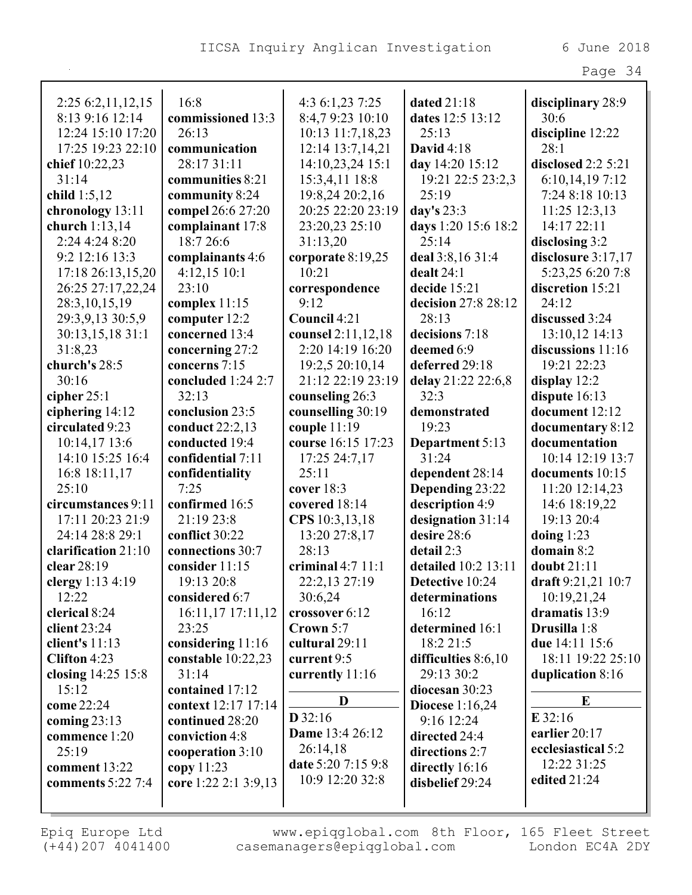Page 34

| 2:25 6:2,11,12,15   | 16:8                 | 4:3 6:1,23 7:25        | dated $21:18$       | disciplinary 28:9  |
|---------------------|----------------------|------------------------|---------------------|--------------------|
| 8:13 9:16 12:14     | commissioned 13:3    | 8:4,79:23 10:10        | dates 12:5 13:12    | 30:6               |
| 12:24 15:10 17:20   | 26:13                | 10:13 11:7,18,23       | 25:13               | discipline 12:22   |
| 17:25 19:23 22:10   | communication        | 12:14 13:7,14,21       | <b>David</b> 4:18   | 28:1               |
| chief 10:22,23      | 28:17 31:11          | 14:10,23,24 15:1       | day 14:20 15:12     | disclosed 2:2 5:21 |
| 31:14               | communities 8:21     | 15:3,4,11 18:8         | 19:21 22:5 23:2,3   | 6:10,14,19 7:12    |
| child $1:5,12$      | community 8:24       | 19:8,24 20:2,16        | 25:19               | 7:24 8:18 10:13    |
| chronology 13:11    | compel 26:6 27:20    | 20:25 22:20 23:19      | day's $23:3$        | 11:25 12:3,13      |
| church 1:13,14      | complainant 17:8     | 23:20,23 25:10         | days 1:20 15:6 18:2 | 14:17 22:11        |
| 2:24 4:24 8:20      | 18:7 26:6            | 31:13,20               | 25:14               | disclosing 3:2     |
| 9:2 12:16 13:3      | complainants 4:6     | corporate 8:19,25      | deal 3:8,16 31:4    | disclosure 3:17,17 |
| 17:18 26:13,15,20   | $4:12,15$ 10:1       | 10:21                  | dealt $24:1$        | 5:23,25 6:20 7:8   |
| 26:25 27:17,22,24   | 23:10                | correspondence         | decide 15:21        | discretion 15:21   |
| 28:3, 10, 15, 19    | complex $11:15$      | 9:12                   | decision 27:8 28:12 | 24:12              |
| 29:3,9,13 30:5,9    | computer 12:2        | Council 4:21           | 28:13               | discussed 3:24     |
| 30:13,15,18 31:1    | concerned 13:4       | counsel 2:11,12,18     | decisions 7:18      | 13:10,12 14:13     |
| 31:8,23             | concerning 27:2      | 2:20 14:19 16:20       | deemed 6:9          | discussions 11:16  |
| church's 28:5       | concerns 7:15        | 19:2,5 20:10,14        | deferred 29:18      | 19:21 22:23        |
| 30:16               | concluded 1:24 2:7   | 21:12 22:19 23:19      | delay 21:22 22:6,8  | display $12:2$     |
| cipher $25:1$       | 32:13                | counseling 26:3        | 32:3                | dispute 16:13      |
| ciphering 14:12     | conclusion 23:5      | counselling 30:19      | demonstrated        | document 12:12     |
| circulated 9:23     | conduct 22:2,13      | couple $11:19$         | 19:23               | documentary 8:12   |
| 10:14,17 13:6       | conducted 19:4       | course 16:15 17:23     | Department 5:13     | documentation      |
| 14:10 15:25 16:4    | confidential 7:11    | 17:25 24:7,17          | 31:24               | 10:14 12:19 13:7   |
| 16:8 18:11,17       | confidentiality      | 25:11                  | dependent 28:14     | documents 10:15    |
| 25:10               | 7:25                 | cover $18:3$           | Depending 23:22     | 11:20 12:14,23     |
| circumstances 9:11  | confirmed 16:5       | covered 18:14          | description 4:9     | 14:6 18:19,22      |
| 17:11 20:23 21:9    | 21:19 23:8           | CPS 10:3,13,18         | designation 31:14   | 19:13 20:4         |
| 24:14 28:8 29:1     | conflict 30:22       | 13:20 27:8,17          | desire 28:6         | doing $1:23$       |
| clarification 21:10 | connections 30:7     | 28:13                  | detail 2:3          | domain 8:2         |
| clear 28:19         | consider 11:15       | criminal $4:7$ $11:1$  | detailed 10:2 13:11 | doubt 21:11        |
| clergy $1:13\;4:19$ | 19:13 20:8           | 22:2,13 27:19          | Detective 10:24     | draft 9:21,21 10:7 |
| 12:22               | considered 6:7       | 30:6,24                | determinations      | 10:19,21,24        |
| clerical 8:24       | 16:11,17 17:11,12    | crossover 6:12         | 16:12               | dramatis 13:9      |
| client $23:24$      | 23:25                | Crown 5:7              | determined 16:1     | Drusilla 1:8       |
| client's $11:13$    | considering $11:16$  | cultural 29:11         | 18:2 21:5           | due 14:11 15:6     |
| Clifton 4:23        | constable 10:22,23   | current 9:5            | difficulties 8:6,10 | 18:11 19:22 25:10  |
| closing 14:25 15:8  | 31:14                | currently 11:16        | 29:13 30:2          | duplication 8:16   |
| 15:12               | contained 17:12      |                        | diocesan 30:23      |                    |
| come 22:24          | context 12:17 17:14  | D                      | Diocese $1:16,24$   | E                  |
| coming $23:13$      | continued 28:20      | $D$ 32:16              | 9:16 12:24          | $E$ 32:16          |
| commence 1:20       | conviction 4:8       | <b>Dame</b> 13:4 26:12 | directed 24:4       | earlier 20:17      |
| 25:19               | cooperation 3:10     | 26:14,18               | directions 2:7      | ecclesiastical 5:2 |
| comment $13:22$     | copy $11:23$         | date 5:20 7:15 9:8     | directly 16:16      | 12:22 31:25        |
| comments 5:22 7:4   | core 1:22 2:1 3:9,13 | 10:9 12:20 32:8        | disbelief 29:24     | edited 21:24       |
|                     |                      |                        |                     |                    |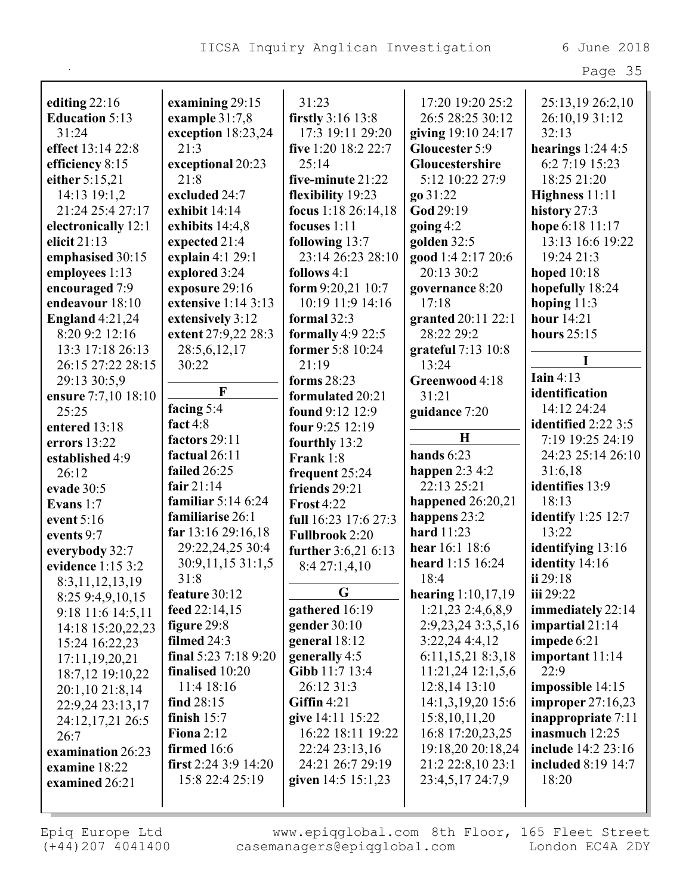|                        |                            |                       |                      | Page 35                   |
|------------------------|----------------------------|-----------------------|----------------------|---------------------------|
| editing $22:16$        | examining 29:15            | 31:23                 | 17:20 19:20 25:2     | 25:13,19 26:2,10          |
| <b>Education 5:13</b>  | example $31:7,8$           | firstly 3:16 13:8     | 26:5 28:25 30:12     | 26:10,19 31:12            |
| 31:24                  | exception $18:23,24$       | 17:3 19:11 29:20      | giving 19:10 24:17   | 32:13                     |
| effect 13:14 22:8      | 21:3                       | five 1:20 18:2 22:7   | Gloucester 5:9       | hearings $1:244:5$        |
| efficiency 8:15        | exceptional 20:23          | 25:14                 | Gloucestershire      | 6:2 7:19 15:23            |
| either 5:15,21         | 21:8                       | five-minute 21:22     | 5:12 10:22 27:9      | 18:25 21:20               |
| 14:13 19:1,2           | excluded 24:7              | flexibility 19:23     | go 31:22             | Highness 11:11            |
| 21:24 25:4 27:17       | exhibit 14:14              | focus 1:18 26:14,18   | God 29:19            | history 27:3              |
| electronically 12:1    | exhibits 14:4,8            | focuses 1:11          | going $4:2$          | hope 6:18 11:17           |
| elicit $21:13$         | expected 21:4              | following 13:7        | golden 32:5          | 13:13 16:6 19:22          |
| emphasised 30:15       | explain 4:1 29:1           | 23:14 26:23 28:10     | good 1:4 2:17 20:6   | 19:24 21:3                |
| employees 1:13         | explored 3:24              | follows $4:1$         | 20:13 30:2           | hoped $10:18$             |
| encouraged 7:9         | exposure 29:16             | form $9:20,21$ 10:7   | governance 8:20      | hopefully 18:24           |
| endeavour 18:10        | extensive $1:14$ 3:13      | 10:19 11:9 14:16      | 17:18                | hoping $11:3$             |
| <b>England 4:21,24</b> | extensively 3:12           | formal $32:3$         | granted 20:11 22:1   | hour $14:21$              |
| 8:20 9:2 12:16         | extent 27:9,22 28:3        | formally $4:922:5$    | 28:22 29:2           | hours $25:15$             |
| 13:3 17:18 26:13       | 28:5,6,12,17               | former 5:8 10:24      | grateful 7:13 10:8   |                           |
| 26:15 27:22 28:15      | 30:22                      | 21:19                 | 13:24                | T                         |
| 29:13 30:5,9           |                            | forms $28:23$         | Greenwood 4:18       | Iain $4:13$               |
| ensure 7:7,10 18:10    | $\mathbf{F}$               | formulated 20:21      | 31:21                | identification            |
| 25:25                  | facing 5:4                 | found 9:12 12:9       | guidance 7:20        | 14:12 24:24               |
| entered 13:18          | fact $4:8$                 | four 9:25 12:19       |                      | identified 2:22 3:5       |
| errors 13:22           | factors 29:11              | fourthly 13:2         | $\mathbf H$          | 7:19 19:25 24:19          |
| established 4:9        | factual 26:11              | Frank 1:8             | hands $6:23$         | 24:23 25:14 26:10         |
| 26:12                  | failed 26:25               | frequent 25:24        | happen $2:34:2$      | 31:6,18                   |
| evade 30:5             | fair $21:14$               | friends 29:21         | 22:13 25:21          | identifies 13:9           |
| Evans $1:7$            | familiar $5:146:24$        | <b>Frost 4:22</b>     | happened $26:20,21$  | 18:13                     |
| event $5:16$           | familiarise 26:1           | full 16:23 17:6 27:3  | happens 23:2         | identify $1:25$ 12:7      |
| events 9:7             | far 13:16 29:16,18         | <b>Fullbrook</b> 2:20 | hard 11:23           | 13:22                     |
| everybody 32:7         | 29:22,24,25 30:4           | further 3:6,21 6:13   | hear 16:1 18:6       | identifying 13:16         |
| evidence 1:15 3:2      | 30:9,11,15 31:1,5          | 8:4 27:1,4,10         | heard 1:15 16:24     | identity 14:16            |
| 8:3,11,12,13,19        | 31:8                       |                       | 18:4                 | ii $29:18$                |
| 8:25 9:4,9,10,15       | feature 30:12              | G                     | hearing $1:10,17,19$ | iii 29:22                 |
| 9:18 11:6 14:5,11      | feed 22:14,15              | gathered 16:19        | $1:21,23$ 2:4,6,8,9  | immediately 22:14         |
| 14:18 15:20,22,23      | figure 29:8                | gender 30:10          | 2:9,23,24 3:3,5,16   | impartial $21:14$         |
| 15:24 16:22,23         | filmed 24:3                | general 18:12         | 3:22,24 4:4,12       | impede 6:21               |
| 17:11,19,20,21         | final $5:23$ $7:18$ $9:20$ | generally 4:5         | 6:11,15,21 8:3,18    | $important$ 11:14         |
| 18:7,12 19:10,22       | finalised 10:20            | Gibb 11:7 13:4        | 11:21,24 12:1,5,6    | 22:9                      |
| 20:1,10 21:8,14        | 11:4 18:16                 | 26:12 31:3            | 12:8,14 13:10        | impossible 14:15          |
| 22:9,24 23:13,17       | find $28:15$               | Giffin $4:21$         | 14:1,3,19,20 15:6    | improper $27:16,23$       |
| 24:12,17,21 26:5       | finish $15:7$              | give 14:11 15:22      | 15:8, 10, 11, 20     | inappropriate 7:11        |
| 26:7                   | <b>Fiona</b> 2:12          | 16:22 18:11 19:22     | 16:8 17:20,23,25     | inasmuch $12:25$          |
| examination 26:23      | firmed 16:6                | 22:24 23:13,16        | 19:18,20 20:18,24    | include 14:2 23:16        |
| examine 18:22          | first 2:24 3:9 $14:20$     | 24:21 26:7 29:19      | 21:2 22:8,10 23:1    | <b>included</b> 8:19 14:7 |
| examined 26:21         | 15:8 22:4 25:19            | given 14:5 15:1,23    | 23:4,5,17 24:7,9     | 18:20                     |
|                        |                            |                       |                      |                           |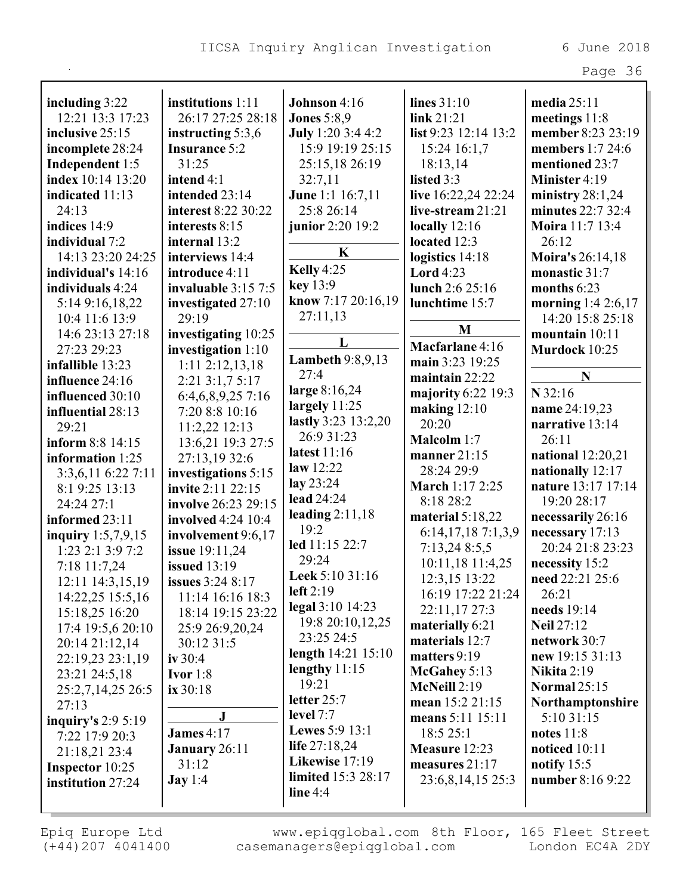| C<br>$\sim$<br>$\overline{\phantom{0}}$ |  |
|-----------------------------------------|--|
|                                         |  |

| including $3:22$     | institutions 1:11         | Johnson 4:16            | lines $31:10$        | media $25:11$       |
|----------------------|---------------------------|-------------------------|----------------------|---------------------|
| 12:21 13:3 17:23     | 26:17 27:25 28:18         | <b>Jones</b> 5:8,9      | link 21:21           | meetings 11:8       |
| inclusive 25:15      | instructing 5:3,6         | July 1:20 3:4 4:2       | list 9:23 12:14 13:2 | member 8:23 23:19   |
| incomplete 28:24     | <b>Insurance 5:2</b>      | 15:9 19:19 25:15        | 15:24 16:1,7         | members 1:7 24:6    |
| Independent 1:5      | 31:25                     | 25:15,18 26:19          | 18:13,14             | mentioned 23:7      |
| index 10:14 13:20    | intend 4:1                | 32:7,11                 | listed 3:3           | Minister 4:19       |
| indicated 11:13      | intended 23:14            | June 1:1 16:7,11        | live 16:22,24 22:24  | ministry $28:1,24$  |
| 24:13                | interest 8:22 30:22       | 25:8 26:14              | live-stream $21:21$  | minutes 22:7 32:4   |
| indices 14:9         | interests 8:15            | junior 2:20 19:2        | locally $12:16$      | Moira 11:7 13:4     |
| individual 7:2       | internal 13:2             | $\mathbf K$             | located 12:3         | 26:12               |
| 14:13 23:20 24:25    | interviews 14:4           |                         | logistics 14:18      | Moira's 26:14,18    |
| individual's 14:16   | introduce 4:11            | Kelly 4:25              | Lord $4:23$          | monastic 31:7       |
| individuals 4:24     | invaluable 3:15 7:5       | key 13:9                | lunch 2:6 25:16      | months 6:23         |
| 5:14 9:16,18,22      | investigated 27:10        | know 7:17 20:16,19      | lunchtime 15:7       | morning 1:4 2:6,17  |
| 10:4 11:6 13:9       | 29:19                     | 27:11,13                |                      | 14:20 15:8 25:18    |
| 14:6 23:13 27:18     | investigating 10:25       | L                       | M                    | mountain 10:11      |
| 27:23 29:23          | investigation 1:10        | <b>Lambeth 9:8,9,13</b> | Macfarlane 4:16      | Murdock 10:25       |
| infallible 13:23     | $1:11$ $2:12,13,18$       | 27:4                    | main 3:23 19:25      |                     |
| influence 24:16      | 2:21 3:1,7 5:17           |                         | maintain $22:22$     | N                   |
| influenced 30:10     | 6:4,6,8,9,257:16          | large 8:16,24           | majority 6:22 19:3   | $N$ 32:16           |
| influential 28:13    | 7:20 8:8 10:16            | largely $11:25$         | making $12:10$       | name 24:19,23       |
| 29:21                | $11:2,22$ $12:13$         | lastly 3:23 13:2,20     | 20:20                | narrative 13:14     |
| inform 8:8 14:15     | 13:6,21 19:3 27:5         | 26:9 31:23              | <b>Malcolm</b> 1:7   | 26:11               |
| information 1:25     | 27:13,19 32:6             | latest 11:16            | manner 21:15         | national 12:20,21   |
| 3:3,6,11 6:22 7:11   | investigations 5:15       | law 12:22               | 28:24 29:9           | nationally 12:17    |
| 8:1 9:25 13:13       | invite 2:11 22:15         | lay $23:24$             | March 1:17 2:25      | nature 13:17 17:14  |
| 24:24 27:1           | involve 26:23 29:15       | lead 24:24              | 8:18 28:2            | 19:20 28:17         |
| informed 23:11       | <b>involved</b> 4:24 10:4 | leading $2:11,18$       | material $5:18,22$   | necessarily 26:16   |
| inquiry $1:5,7,9,15$ | involvement 9:6,17        | 19:2                    | 6:14,17,18 7:1,3,9   | necessary 17:13     |
| 1:23 2:1 3:9 7:2     | issue 19:11,24            | led 11:15 22:7          | 7:13,248:5,5         | 20:24 21:8 23:23    |
| 7:18 11:7,24         | <b>issued</b> 13:19       | 29:24                   | 10:11,18 11:4,25     | necessity 15:2      |
| 12:11 14:3,15,19     | <b>issues</b> 3:24 8:17   | Leek 5:10 31:16         | 12:3,15 13:22        | need 22:21 25:6     |
| 14:22,25 15:5,16     | 11:14 16:16 18:3          | left $2:19$             | 16:19 17:22 21:24    | 26:21               |
| 15:18,25 16:20       | 18:14 19:15 23:22         | legal 3:10 14:23        | 22:11,17 27:3        | needs 19:14         |
| 17:4 19:5,6 20:10    | 25:9 26:9,20,24           | 19:8 20:10, 12, 25      | materially 6:21      | <b>Neil 27:12</b>   |
| 20:14 21:12,14       | 30:12 31:5                | 23:25 24:5              | materials 12:7       | network 30:7        |
| 22:19,23 23:1,19     | iv $30:4$                 | length 14:21 15:10      | matters 9:19         | new 19:15 31:13     |
| 23:21 24:5,18        | Ivor $1:8$                | lengthy $11:15$         | McGahey 5:13         | <b>Nikita</b> 2:19  |
| 25:2,7,14,25 26:5    | ix 30:18                  | 19:21                   | McNeill 2:19         | <b>Normal 25:15</b> |
| 27:13                |                           | letter 25:7             | mean 15:2 21:15      | Northamptonshire    |
| inquiry's $2:95:19$  | ${\bf J}$                 | level $7:7$             | means 5:11 15:11     | 5:10 31:15          |
| 7:22 17:9 20:3       | <b>James 4:17</b>         | <b>Lewes</b> 5:9 13:1   | 18:5 25:1            | notes $11:8$        |
| 21:18,21 23:4        | January 26:11             | life $27:18,24$         | Measure 12:23        | noticed 10:11       |
| Inspector 10:25      | 31:12                     | Likewise 17:19          | measures $21:17$     | notify $15:5$       |
| institution 27:24    | $\text{Jay } 1:4$         | limited 15:3 28:17      | 23:6,8,14,15 25:3    | number 8:16 9:22    |
|                      |                           | line $4:4$              |                      |                     |
|                      |                           |                         |                      |                     |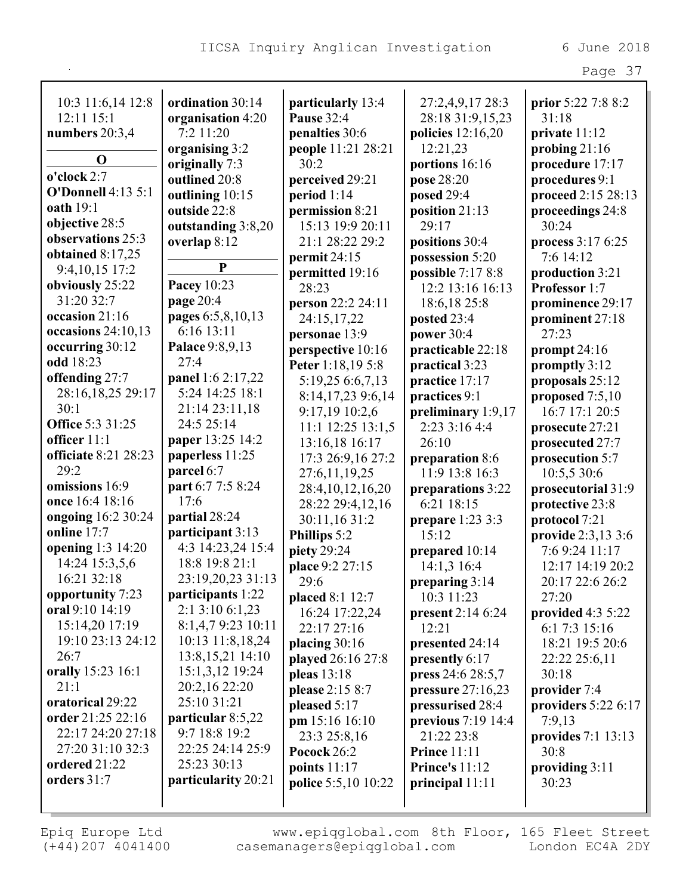|                           |                                       |                               |                                   | Page 37                            |
|---------------------------|---------------------------------------|-------------------------------|-----------------------------------|------------------------------------|
|                           |                                       |                               |                                   |                                    |
| 10:3 11:6,14 12:8         | ordination 30:14                      | particularly 13:4             | 27:2,4,9,17 28:3                  | prior 5:22 7:8 8:2                 |
| 12:11 15:1                | organisation 4:20<br>7:2 11:20        | <b>Pause 32:4</b>             | 28:18 31:9,15,23                  | 31:18                              |
| numbers $20:3,4$          |                                       | penalties 30:6                | policies $12:16,20$               | private 11:12                      |
| $\mathbf 0$               | organising 3:2<br>originally 7:3      | people 11:21 28:21<br>30:2    | 12:21,23<br>portions 16:16        | probing $21:16$<br>procedure 17:17 |
| o'clock 2:7               | outlined 20:8                         | perceived 29:21               | pose 28:20                        | procedures 9:1                     |
| <b>O'Donnell 4:13 5:1</b> | outlining 10:15                       | period $1:14$                 | posed 29:4                        | proceed 2:15 28:13                 |
| <b>oath</b> 19:1          | outside 22:8                          | permission 8:21               | position 21:13                    | proceedings 24:8                   |
| objective 28:5            | outstanding 3:8,20                    | 15:13 19:9 20:11              | 29:17                             | 30:24                              |
| observations 25:3         | overlap 8:12                          | 21:1 28:22 29:2               | positions 30:4                    | process 3:17 6:25                  |
| obtained $8:17,25$        |                                       | permit 24:15                  | possession 5:20                   | 7:6 14:12                          |
| 9:4, 10, 15 17:2          | $\mathbf{P}$                          | permitted 19:16               | possible 7:17 8:8                 | production 3:21                    |
| obviously 25:22           | Pacey 10:23                           | 28:23                         | 12:2 13:16 16:13                  | Professor 1:7                      |
| 31:20 32:7                | page 20:4                             | person 22:2 24:11             | 18:6,18 25:8                      | prominence 29:17                   |
| occasion 21:16            | pages 6:5,8,10,13                     | 24:15,17,22                   | posted 23:4                       | prominent 27:18                    |
| occasions $24:10,13$      | 6:16 13:11                            | personae 13:9                 | power 30:4                        | 27:23                              |
| occurring 30:12           | Palace 9:8,9,13                       | perspective 10:16             | practicable 22:18                 | prompt 24:16                       |
| odd 18:23                 | 27:4                                  | Peter 1:18,19 5:8             | practical 3:23                    | promptly 3:12                      |
| offending 27:7            | panel 1:6 2:17,22                     | 5:19,25 6:6,7,13              | practice 17:17                    | proposals 25:12                    |
| 28:16,18,25 29:17         | 5:24 14:25 18:1                       | 8:14,17,23 9:6,14             | practices 9:1                     | proposed $7:5,10$                  |
| 30:1                      | 21:14 23:11,18                        | 9:17,19 10:2,6                | preliminary 1:9,17                | 16:7 17:1 20:5                     |
| <b>Office 5:3 31:25</b>   | 24:5 25:14                            | 11:1 12:25 13:1,5             | 2:23 3:16 4:4                     | prosecute 27:21                    |
| officer $11:1$            | paper 13:25 14:2                      | 13:16,18 16:17                | 26:10                             | prosecuted 27:7                    |
| officiate 8:21 28:23      | paperless 11:25                       | 17:3 26:9,16 27:2             | preparation 8:6                   | prosecution 5:7                    |
| 29:2                      | parcel 6:7                            | 27:6,11,19,25                 | 11:9 13:8 16:3                    | 10:5,5 30:6                        |
| omissions 16:9            | part 6:7 7:5 8:24                     | 28:4,10,12,16,20              | preparations 3:22                 | prosecutorial 31:9                 |
| once 16:4 18:16           | 17:6                                  | 28:22 29:4,12,16              | 6:21 18:15                        | protective 23:8                    |
| ongoing 16:2 30:24        | partial 28:24                         | 30:11,16 31:2                 | prepare 1:23 3:3                  | protocol 7:21                      |
| online 17:7               | participant 3:13                      | Phillips 5:2                  | 15:12                             | provide 2:3,13 3:6                 |
| opening 1:3 14:20         | 4:3 14:23,24 15:4                     | piety 29:24                   | prepared 10:14                    | 7:6 9:24 11:17                     |
| 14:24 15:3,5,6            | 18:8 19:8 21:1                        | place 9:2 27:15               | 14:1,3 16:4                       | 12:17 14:19 20:2                   |
| 16:21 32:18               | 23:19,20,23 31:13                     | 29:6                          | preparing 3:14                    | 20:17 22:6 26:2                    |
| opportunity 7:23          | participants 1:22                     | placed 8:1 12:7               | 10:3 11:23                        | 27:20                              |
| oral 9:10 14:19           | 2:1 3:10 6:1,23                       | 16:24 17:22,24                | present $2:146:24$                | provided $4:35:22$                 |
| 15:14,20 17:19            | 8:1,4,79:23 10:11                     | 22:17 27:16                   | 12:21                             | 6:1 7:3 15:16                      |
| 19:10 23:13 24:12         | 10:13 11:8,18,24                      | placing 30:16                 | presented 24:14                   | 18:21 19:5 20:6                    |
| 26:7<br>orally 15:23 16:1 | 13:8, 15, 21 14:10<br>15:1,3,12 19:24 | played 26:16 27:8             | presently 6:17                    | 22:22 25:6,11                      |
| 21:1                      | 20:2,16 22:20                         | pleas 13:18                   | press 24:6 28:5,7                 | 30:18                              |
| oratorical 29:22          | 25:10 31:21                           | please 2:15 8:7               | pressure 27:16,23                 | provider 7:4                       |
| order 21:25 22:16         | particular 8:5,22                     | pleased 5:17                  | pressurised 28:4                  | providers $5:226:17$               |
| 22:17 24:20 27:18         | 9:7 18:8 19:2                         | pm 15:16 16:10                | previous 7:19 14:4                | 7:9,13                             |
| 27:20 31:10 32:3          | 22:25 24:14 25:9                      | 23:3 25:8,16<br>Pocock $26:2$ | 21:22 23:8<br><b>Prince</b> 11:11 | provides $7:1$ 13:13<br>30:8       |
| ordered 21:22             | 25:23 30:13                           | points $11:17$                | <b>Prince's 11:12</b>             | providing $3:11$                   |
| orders 31:7               | particularity 20:21                   | <b>police</b> 5:5,10 10:22    | principal $11:11$                 | 30:23                              |
|                           |                                       |                               |                                   |                                    |
|                           |                                       |                               |                                   |                                    |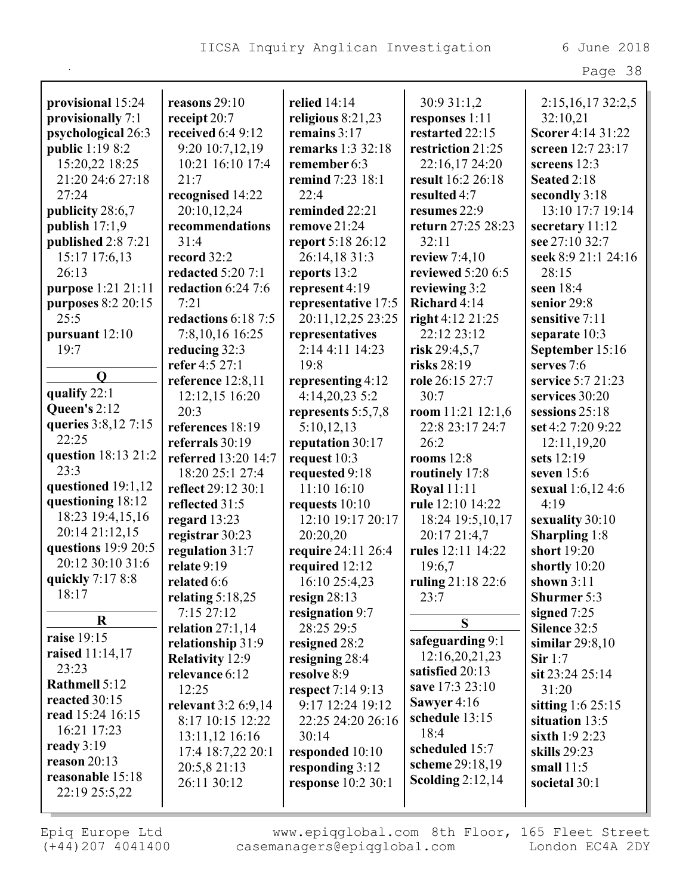|                        |                          |                           |                                    | Page 38                  |
|------------------------|--------------------------|---------------------------|------------------------------------|--------------------------|
|                        |                          |                           |                                    |                          |
| provisional 15:24      | reasons 29:10            | relied 14:14              | 30:9 31:1,2                        | 2:15,16,1732:2,5         |
| provisionally 7:1      | receipt 20:7             | religious $8:21,23$       | responses 1:11                     | 32:10,21                 |
| psychological 26:3     | received 6:4 9:12        | remains 3:17              | restarted 22:15                    | Scorer 4:14 31:22        |
| public 1:19 8:2        | 9:20 10:7,12,19          | remarks 1:3 32:18         | restriction 21:25                  | screen 12:7 23:17        |
| 15:20,22 18:25         | 10:21 16:10 17:4         | remember 6:3              | 22:16,17 24:20                     | screens 12:3             |
| 21:20 24:6 27:18       | 21:7                     | remind 7:23 18:1          | result 16:2 26:18                  | Seated 2:18              |
| 27:24                  | recognised 14:22         | 22:4                      | resulted 4:7                       | secondly 3:18            |
| publicity 28:6,7       | 20:10,12,24              | reminded 22:21            | resumes 22:9                       | 13:10 17:7 19:14         |
| publish $17:1,9$       | recommendations          | remove 21:24              | return 27:25 28:23                 | secretary 11:12          |
| published 2:8 7:21     | 31:4                     | report 5:18 26:12         | 32:11                              | see 27:10 32:7           |
| 15:17 17:6,13          | record 32:2              | 26:14,18 31:3             | review $7:4,10$                    | seek 8:9 21:1 24:16      |
| 26:13                  | <b>redacted 5:20 7:1</b> | reports 13:2              | reviewed 5:20 6:5                  | 28:15                    |
| purpose 1:21 21:11     | redaction 6:24 7:6       | represent 4:19            | reviewing 3:2                      | seen 18:4                |
| purposes 8:2 20:15     | 7:21                     | representative 17:5       | Richard 4:14                       | senior 29:8              |
| 25:5                   | redactions 6:18 7:5      | 20:11,12,25 23:25         | right 4:12 21:25                   | sensitive 7:11           |
| pursuant 12:10         | 7:8,10,16 16:25          | representatives           | 22:12 23:12                        | separate 10:3            |
| 19:7                   | reducing 32:3            | 2:14 4:11 14:23           | risk $29:4,5,7$                    | September 15:16          |
| $\mathbf 0$            | refer 4:5 27:1           | 19:8                      | risks 28:19                        | serves 7:6               |
|                        | reference 12:8,11        | representing 4:12         | role 26:15 27:7                    | service 5:7 21:23        |
| qualify 22:1           | 12:12,15 16:20           | 4:14,20,23 5:2            | 30:7                               | services 30:20           |
| Queen's $2:12$         | 20:3                     | represents $5:5,7,8$      | room 11:21 12:1,6                  | sessions 25:18           |
| queries 3:8,12 7:15    | references 18:19         | 5:10,12,13                | 22:8 23:17 24:7                    | set 4:2 7:20 9:22        |
| 22:25                  | referrals 30:19          | reputation 30:17          | 26:2                               | 12:11,19,20              |
| question 18:13 21:2    | referred 13:20 14:7      | request 10:3              | rooms $12:8$                       | sets 12:19               |
| 23:3                   | 18:20 25:1 27:4          | requested 9:18            | routinely 17:8                     | seven 15:6               |
| questioned 19:1,12     | reflect 29:12 30:1       | 11:10 16:10               | <b>Royal 11:11</b>                 | <b>sexual</b> 1:6,12 4:6 |
| questioning 18:12      | reflected 31:5           | requests 10:10            | rule 12:10 14:22                   | 4:19                     |
| 18:23 19:4,15,16       | regard $13:23$           | 12:10 19:17 20:17         | 18:24 19:5,10,17                   | sexuality 30:10          |
| 20:14 21:12,15         | registrar 30:23          | 20:20,20                  | 20:17 21:4,7                       | <b>Sharpling</b> 1:8     |
| questions 19:9 20:5    | regulation 31:7          | require 24:11 26:4        | rules 12:11 14:22                  | short 19:20              |
| 20:12 30:10 31:6       | relate 9:19              | required 12:12            | 19:6,7                             | shortly 10:20            |
| quickly 7:17 8:8       | related 6:6              | 16:10 25:4,23             | ruling 21:18 22:6                  | shown $3:11$             |
| 18:17                  | relating 5:18,25         | resign $28:13$            | 23:7                               | <b>Shurmer</b> 5:3       |
| $\bf R$                | 7:15 27:12               | resignation 9:7           | S                                  | signed $7:25$            |
| raise 19:15            | relation $27:1,14$       | 28:25 29:5                | safeguarding 9:1                   | Silence 32:5             |
| <b>raised</b> 11:14,17 | relationship 31:9        | resigned 28:2             |                                    | similar $29:8,10$        |
| 23:23                  | <b>Relativity 12:9</b>   | resigning 28:4            | 12:16,20,21,23                     | Sir 1:7                  |
| Rathmell 5:12          | relevance 6:12           | resolve 8:9               | satisfied 20:13<br>save 17:3 23:10 | sit 23:24 25:14          |
| reacted 30:15          | 12:25                    | respect 7:14 9:13         |                                    | 31:20                    |
| read 15:24 16:15       | relevant 3:2 6:9,14      | 9:17 12:24 19:12          | Sawyer 4:16                        | sitting $1:625:15$       |
| 16:21 17:23            | 8:17 10:15 12:22         | 22:25 24:20 26:16         | schedule 13:15<br>18:4             | situation 13:5           |
| ready $3:19$           | 13:11,12 16:16           | 30:14                     |                                    | sixth 1:9 2:23           |
| reason $20:13$         | 17:4 18:7,22 20:1        | responded 10:10           | scheduled 15:7                     | skills 29:23             |
| reasonable 15:18       | 20:5,8 21:13             | responding 3:12           | scheme 29:18,19                    | small $11:5$             |
| 22:19 25:5,22          | 26:11 30:12              | <b>response</b> 10:2 30:1 | <b>Scolding 2:12,14</b>            | societal 30:1            |
|                        |                          |                           |                                    |                          |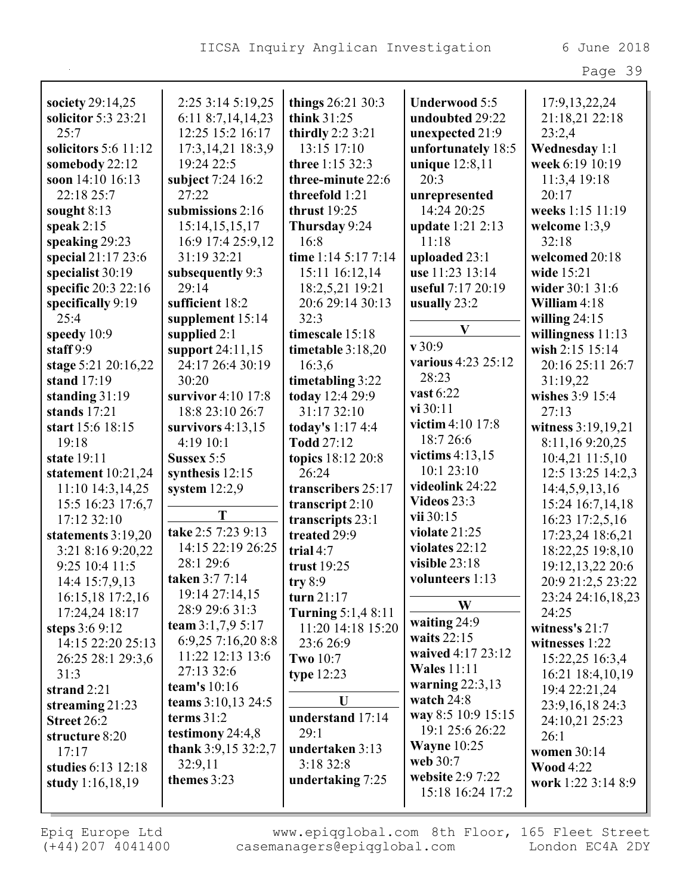|                      |                        |                           |                      | Page 39            |
|----------------------|------------------------|---------------------------|----------------------|--------------------|
|                      |                        |                           |                      |                    |
| society 29:14,25     | 2:25 3:14 5:19,25      | things 26:21 30:3         | <b>Underwood 5:5</b> | 17:9, 13, 22, 24   |
| solicitor 5:3 23:21  | 6:11 8:7,14,14,23      | think 31:25               | undoubted 29:22      | 21:18,21 22:18     |
| 25:7                 | 12:25 15:2 16:17       | thirdly 2:2 3:21          | unexpected 21:9      | 23:2,4             |
| solicitors 5:6 11:12 | 17:3, 14, 21 18:3, 9   | 13:15 17:10               | unfortunately 18:5   | Wednesday 1:1      |
| somebody 22:12       | 19:24 22:5             | three 1:15 32:3           | unique 12:8,11       | week 6:19 10:19    |
| soon 14:10 16:13     | subject 7:24 16:2      | three-minute 22:6         | 20:3                 | 11:3,4 19:18       |
| 22:18 25:7           | 27:22                  | threefold 1:21            | unrepresented        | 20:17              |
| sought $8:13$        | submissions 2:16       | thrust $19:25$            | 14:24 20:25          | weeks 1:15 11:19   |
| speak $2:15$         | 15:14, 15, 15, 17      | Thursday 9:24             | update 1:21 2:13     | welcome 1:3,9      |
| speaking 29:23       | 16:9 17:4 25:9,12      | 16:8                      | 11:18                | 32:18              |
| special 21:17 23:6   | 31:19 32:21            | time 1:14 5:17 7:14       | uploaded 23:1        | welcomed 20:18     |
| specialist 30:19     | subsequently 9:3       | 15:11 16:12,14            | use 11:23 13:14      | wide 15:21         |
| specific 20:3 22:16  | 29:14                  | 18:2,5,21 19:21           | useful 7:17 20:19    | wider 30:1 31:6    |
| specifically 9:19    | sufficient 18:2        | 20:6 29:14 30:13          | usually $23:2$       | William 4:18       |
| 25:4                 | supplement 15:14       | 32:3                      |                      | willing $24:15$    |
| speedy 10:9          | supplied $2:1$         | timescale 15:18           | V                    | willingness 11:13  |
| staff $9:9$          | support 24:11,15       | timetable 3:18,20         | v30:9                | wish 2:15 15:14    |
| stage 5:21 20:16,22  | 24:17 26:4 30:19       | 16:3,6                    | various 4:23 25:12   | 20:16 25:11 26:7   |
| stand 17:19          | 30:20                  | timetabling 3:22          | 28:23                | 31:19,22           |
| standing 31:19       | survivor 4:10 17:8     | today 12:4 29:9           | vast 6:22            | wishes 3:9 15:4    |
| stands 17:21         | 18:8 23:10 26:7        | 31:17 32:10               | vi 30:11             | 27:13              |
| start 15:6 18:15     | survivors $4:13,15$    | today's $1:174:4$         | victim 4:10 17:8     | witness 3:19,19,21 |
| 19:18                | 4:19 10:1              | Todd 27:12                | 18:7 26:6            | 8:11,169:20,25     |
| state 19:11          | Sussex 5:5             | topics 18:12 20:8         | victims $4:13,15$    | 10:4,21 11:5,10    |
| statement $10:21,24$ | synthesis $12:15$      | 26:24                     | 10:1 23:10           | 12:5 13:25 14:2,3  |
| 11:10 14:3,14,25     | system $12:2,9$        | transcribers 25:17        | videolink 24:22      | 14:4,5,9,13,16     |
| 15:5 16:23 17:6,7    |                        | transcript $2:10$         | <b>Videos 23:3</b>   | 15:24 16:7,14,18   |
| 17:12 32:10          | T                      | transcripts 23:1          | vii 30:15            | 16:23 17:2,5,16    |
| statements 3:19,20   | take 2:5 7:23 9:13     | treated 29:9              | violate 21:25        | 17:23,24 18:6,21   |
| 3:21 8:16 9:20,22    | 14:15 22:19 26:25      | trial 4:7                 | violates 22:12       | 18:22,25 19:8,10   |
| 9:25 10:4 11:5       | 28:1 29:6              | trust $19:25$             | visible $23:18$      | 19:12, 13, 22 20:6 |
| 14:4 15:7,9,13       | taken 3:7 7:14         | try $8:9$                 | volunteers 1:13      | 20:9 21:2,5 23:22  |
| 16:15,18 17:2,16     | 19:14 27:14,15         | turn 21:17                | W                    | 23:24 24:16,18,23  |
| 17:24,24 18:17       | 28:9 29:6 31:3         | <b>Turning 5:1,4 8:11</b> |                      | 24:25              |
| steps 3:6 9:12       | team $3:1,7,9$ 5:17    | 11:20 14:18 15:20         | waiting 24:9         | witness's $21:7$   |
| 14:15 22:20 25:13    | 6:9,25 7:16,20 8:8     | 23:6 26:9                 | waits $22:15$        | witnesses 1:22     |
| 26:25 28:1 29:3,6    | 11:22 12:13 13:6       | <b>Two 10:7</b>           | waived 4:17 23:12    | 15:22,25 16:3,4    |
| 31:3                 | 27:13 32:6             | type $12:23$              | <b>Wales</b> 11:11   | 16:21 18:4,10,19   |
| strand 2:21          | team's $10:16$         |                           | warning $22:3,13$    | 19:4 22:21,24      |
| streaming $21:23$    | teams 3:10,13 24:5     | U                         | watch $24:8$         | 23:9, 16, 18 24:3  |
| Street 26:2          | terms $31:2$           | understand 17:14          | way 8:5 10:9 15:15   | 24:10,21 25:23     |
| structure 8:20       | testimony 24:4,8       | 29:1                      | 19:1 25:6 26:22      | 26:1               |
| 17:17                | thank $3:9,15\,32:2,7$ | undertaken 3:13           | <b>Wayne 10:25</b>   | women 30:14        |
| studies 6:13 12:18   | 32:9,11                | 3:18 32:8                 | web 30:7             | <b>Wood 4:22</b>   |
| study $1:16,18,19$   | themes 3:23            | undertaking 7:25          | website 2:9 7:22     | work 1:22 3:14 8:9 |
|                      |                        |                           | 15:18 16:24 17:2     |                    |